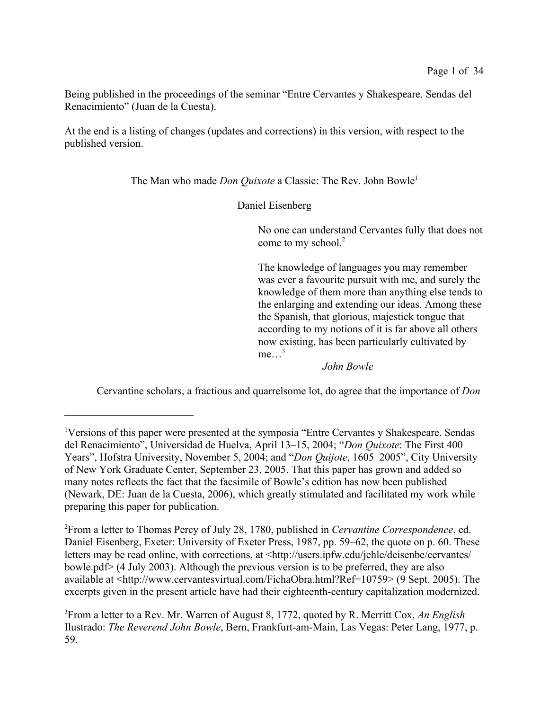Being published in the proceedings of the seminar "Entre Cervantes y Shakespeare. Sendas del Renacimiento" (Juan de la Cuesta).

At the end is a listing of changes (updates and corrections) in this version, with respect to the published version.

The Man who made *Don Quixote* a Classic: The Rev. John Bowle<sup>1</sup>

Daniel Eisenberg

No one can understand Cervantes fully that does not come to my school.<sup>2</sup>

The knowledge of languages you may remember was ever a favourite pursuit with me, and surely the knowledge of them more than anything else tends to the enlarging and extending our ideas. Among these the Spanish, that glorious, majestick tongue that according to my notions of it is far above all others now existing, has been particularly cultivated by  $me...^3$ 

*John Bowle*

Cervantine scholars, a fractious and quarrelsome lot, do agree that the importance of *Don*

<sup>2</sup>From a letter to Thomas Percy of July 28, 1780, published in *Cervantine Correspondence*, ed. Daniel Eisenberg, Exeter: University of Exeter Press, 1987, pp. 59–62, the quote on p. 60. These letters may be read online, with corrections, at <http://users.ipfw.edu/jehle/deisenbe/cervantes/ bowle.pdf> (4 July 2003). Although the previous version is to be preferred, they are also available at <http://www.cervantesvirtual.com/FichaObra.html?Ref=10759> (9 Sept. 2005). The excerpts given in the present article have had their eighteenth-century capitalization modernized.

<sup>1</sup>Versions of this paper were presented at the symposia "Entre Cervantes y Shakespeare. Sendas del Renacimiento", Universidad de Huelva, April 13–15, 2004; "*Don Quixote*: The First 400 Years", Hofstra University, November 5, 2004; and "*Don Quijote*, 1605–2005", City University of New York Graduate Center, September 23, 2005. That this paper has grown and added so many notes reflects the fact that the facsimile of Bowle's edition has now been published (Newark, DE: Juan de la Cuesta, 2006), which greatly stimulated and facilitated my work while preparing this paper for publication.

<sup>3</sup>From a letter to a Rev. Mr. Warren of August 8, 1772, quoted by R. Merritt Cox, *An English* Ilustrado: *The Reverend John Bowle*, Bern, Frankfurt-am-Main, Las Vegas: Peter Lang, 1977, p. 59.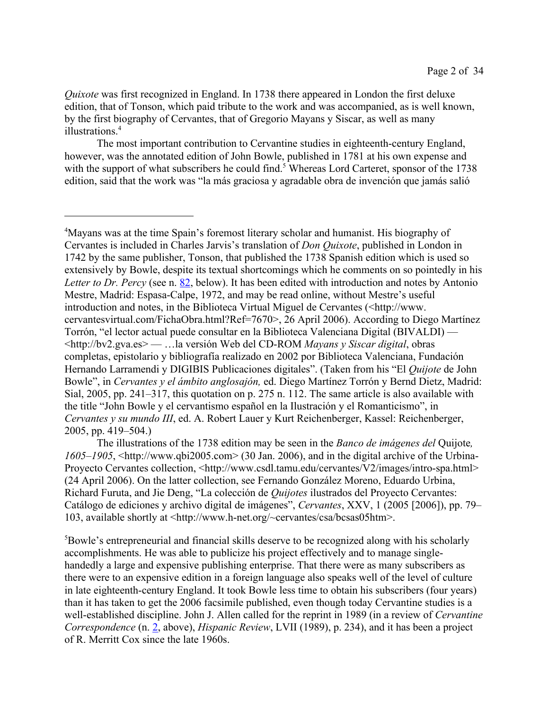*Quixote* was first recognized in England. In 1738 there appeared in London the first deluxe edition, that of Tonson, which paid tribute to the work and was accompanied, as is well known, by the first biography of Cervantes, that of Gregorio Mayans y Siscar, as well as many illustrations<sup>4</sup>

The most important contribution to Cervantine studies in eighteenth-century England, however, was the annotated edition of John Bowle, published in 1781 at his own expense and with the support of what subscribers he could find.<sup>5</sup> Whereas Lord Carteret, sponsor of the 1738 edition, said that the work was "la más graciosa y agradable obra de invención que jamás salió

<sup>5</sup>Bowle's entrepreneurial and financial skills deserve to be recognized along with his scholarly accomplishments. He was able to publicize his project effectively and to manage singlehandedly a large and expensive publishing enterprise. That there were as many subscribers as there were to an expensive edition in a foreign language also speaks well of the level of culture in late eighteenth-century England. It took Bowle less time to obtain his subscribers (four years) than it has taken to get the 2006 facsimile published, even though today Cervantine studies is a well-established discipline. John J. Allen called for the reprint in 1989 (in a review of *Cervantine Correspondence* (n. 2, above), *Hispanic Review*, LVII (1989), p. 234), and it has been a project of R. Merritt Cox since the late 1960s.

<sup>&</sup>lt;sup>4</sup>Mayans was at the time Spain's foremost literary scholar and humanist. His biography of Cervantes is included in Charles Jarvis's translation of *Don Quixote*, published in London in 1742 by the same publisher, Tonson, that published the 1738 Spanish edition which is used so extensively by Bowle, despite its textual shortcomings which he comments on so pointedly in his *Letter to Dr. Percy* (see n. 82, below). It has been edited with introduction and notes by Antonio Mestre, Madrid: Espasa-Calpe, 1972, and may be read online, without Mestre's useful introduction and notes, in the Biblioteca Virtual Miguel de Cervantes (<http://www. cervantesvirtual.com/FichaObra.html?Ref=7670>, 26 April 2006). According to Diego Martínez Torrón, "el lector actual puede consultar en la Biblioteca Valenciana Digital (BIVALDI) — <http://bv2.gva.es> — …la versión Web del CD-ROM *Mayans y Siscar digital*, obras completas, epistolario y bibliografía realizado en 2002 por Biblioteca Valenciana, Fundación Hernando Larramendi y DIGIBIS Publicaciones digitales". (Taken from his "El *Quijote* de John Bowle", in *Cervantes y el ámbito anglosajón,* ed. Diego Martínez Torrón y Bernd Dietz, Madrid: Sial, 2005, pp. 241–317, this quotation on p. 275 n. 112. The same article is also available with the title "John Bowle y el cervantismo español en la Ilustración y el Romanticismo", in *Cervantes y su mundo III*, ed. A. Robert Lauer y Kurt Reichenberger, Kassel: Reichenberger, 2005, pp. 419–504.)

The illustrations of the 1738 edition may be seen in the *Banco de imágenes del* Quijote*, 1605–1905*, <http://www.qbi2005.com> (30 Jan. 2006), and in the digital archive of the Urbina-Proyecto Cervantes collection, <http://www.csdl.tamu.edu/cervantes/V2/images/intro-spa.html> (24 April 2006). On the latter collection, see Fernando González Moreno, Eduardo Urbina, Richard Furuta, and Jie Deng, "La colección de *Quijotes* ilustrados del Proyecto Cervantes: Catálogo de ediciones y archivo digital de imágenes", *Cervantes*, XXV, 1 (2005 [2006]), pp. 79– 103, available shortly at <http://www.h-net.org/~cervantes/csa/bcsas05htm>.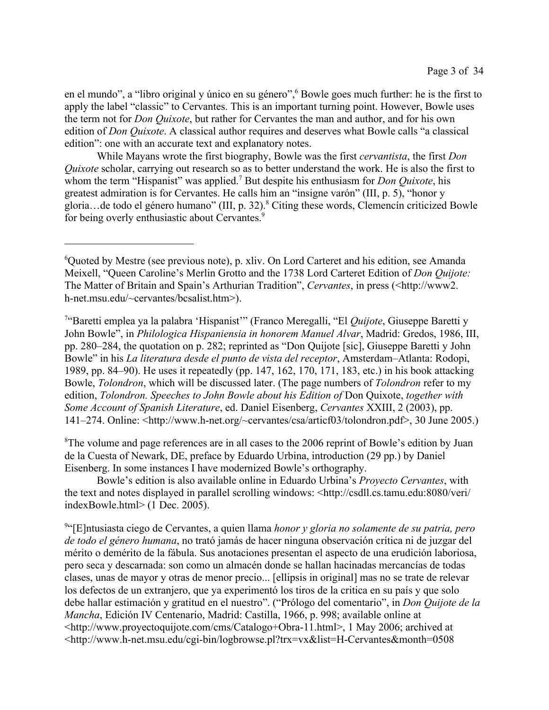en el mundo", a "libro original y único en su género", <sup>6</sup> Bowle goes much further: he is the first to apply the label "classic" to Cervantes. This is an important turning point. However, Bowle uses the term not for *Don Quixote*, but rather for Cervantes the man and author, and for his own edition of *Don Quixote*. A classical author requires and deserves what Bowle calls "a classical edition": one with an accurate text and explanatory notes.

While Mayans wrote the first biography, Bowle was the first *cervantista*, the first *Don Quixote* scholar, carrying out research so as to better understand the work. He is also the first to whom the term "Hispanist" was applied.<sup>7</sup> But despite his enthusiasm for *Don Quixote*, his greatest admiration is for Cervantes. He calls him an "insigne varón" (III, p. 5), "honor y gloria...de todo el género humano" (III, p. 32).<sup>8</sup> Citing these words, Clemencín criticized Bowle for being overly enthusiastic about Cervantes.<sup>9</sup>

7 "Baretti emplea ya la palabra 'Hispanist'" (Franco Meregalli, "El *Quijote*, Giuseppe Baretti y John Bowle", in *Philologica Hispaniensia in honorem Manuel Alvar*, Madrid: Gredos, 1986, III, pp. 280–284, the quotation on p. 282; reprinted as "Don Quijote [sic], Giuseppe Baretti y John Bowle" in his *La literatura desde el punto de vista del receptor*, Amsterdam–Atlanta: Rodopi, 1989, pp. 84–90). He uses it repeatedly (pp. 147, 162, 170, 171, 183, etc.) in his book attacking Bowle, *Tolondron*, which will be discussed later. (The page numbers of *Tolondron* refer to my edition, *Tolondron. Speeches to John Bowle about his Edition of* Don Quixote, *together with Some Account of Spanish Literature*, ed. Daniel Eisenberg, *Cervantes* XXIII, 2 (2003), pp. 141–274. Online: <http://www.h-net.org/~cervantes/csa/articf03/tolondron.pdf>, 30 June 2005.)

<sup>8</sup>The volume and page references are in all cases to the 2006 reprint of Bowle's edition by Juan de la Cuesta of Newark, DE, preface by Eduardo Urbina, introduction (29 pp.) by Daniel Eisenberg. In some instances I have modernized Bowle's orthography.

Bowle's edition is also available online in Eduardo Urbina's *Proyecto Cervantes*, with the text and notes displayed in parallel scrolling windows: <http://csdll.cs.tamu.edu:8080/veri/ indexBowle.html> (1 Dec. 2005).

9 "[E]ntusiasta ciego de Cervantes, a quien llama *honor y gloria no solamente de su patria, pero de todo el género humana*, no trató jamás de hacer ninguna observación crítica ni de juzgar del mérito o demérito de la fábula. Sus anotaciones presentan el aspecto de una erudición laboriosa, pero seca y descarnada: son como un almacén donde se hallan hacinadas mercancías de todas clases, unas de mayor y otras de menor precio... [ellipsis in original] mas no se trate de relevar los defectos de un extranjero, que ya experimentó los tiros de la critica en su país y que solo debe hallar estimación y gratitud en el nuestro". ("Prólogo del comentario", in *Don Quijote de la Mancha*, Edición IV Centenario, Madrid: Castilla, 1966, p. 998; available online at <http://www.proyectoquijote.com/cms/Catalogo+Obra-11.html>, 1 May 2006; archived at <http://www.h-net.msu.edu/cgi-bin/logbrowse.pl?trx=vx&list=H-Cervantes&month=0508

<sup>&</sup>lt;sup>6</sup>Quoted by Mestre (see previous note), p. xliv. On Lord Carteret and his edition, see Amanda Meixell, "Queen Caroline's Merlin Grotto and the 1738 Lord Carteret Edition of *Don Quijote:* The Matter of Britain and Spain's Arthurian Tradition", *Cervantes*, in press (<http://www2. h-net.msu.edu/~cervantes/bcsalist.htm>).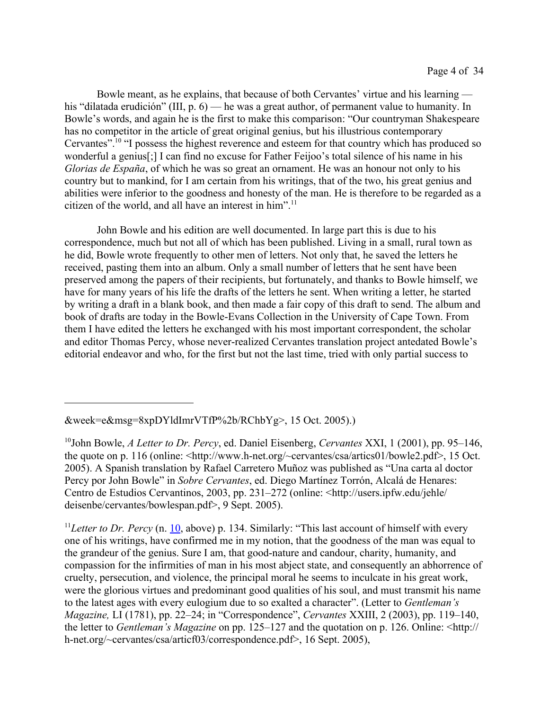Bowle meant, as he explains, that because of both Cervantes' virtue and his learning his "dilatada erudición" (III, p. 6) — he was a great author, of permanent value to humanity. In Bowle's words, and again he is the first to make this comparison: "Our countryman Shakespeare has no competitor in the article of great original genius, but his illustrious contemporary Cervantes".<sup>10</sup> "I possess the highest reverence and esteem for that country which has produced so wonderful a genius[;] I can find no excuse for Father Feijoo's total silence of his name in his *Glorias de España*, of which he was so great an ornament. He was an honour not only to his country but to mankind, for I am certain from his writings, that of the two, his great genius and abilities were inferior to the goodness and honesty of the man. He is therefore to be regarded as a citizen of the world, and all have an interest in him".<sup>11</sup>

John Bowle and his edition are well documented. In large part this is due to his correspondence, much but not all of which has been published. Living in a small, rural town as he did, Bowle wrote frequently to other men of letters. Not only that, he saved the letters he received, pasting them into an album. Only a small number of letters that he sent have been preserved among the papers of their recipients, but fortunately, and thanks to Bowle himself, we have for many years of his life the drafts of the letters he sent. When writing a letter, he started by writing a draft in a blank book, and then made a fair copy of this draft to send. The album and book of drafts are today in the Bowle-Evans Collection in the University of Cape Town. From them I have edited the letters he exchanged with his most important correspondent, the scholar and editor Thomas Percy, whose never-realized Cervantes translation project antedated Bowle's editorial endeavor and who, for the first but not the last time, tried with only partial success to

<sup>11</sup>Letter to Dr. Percy (n. 10, above) p. 134. Similarly: "This last account of himself with every one of his writings, have confirmed me in my notion, that the goodness of the man was equal to the grandeur of the genius. Sure I am, that good-nature and candour, charity, humanity, and compassion for the infirmities of man in his most abject state, and consequently an abhorrence of cruelty, persecution, and violence, the principal moral he seems to inculcate in his great work, were the glorious virtues and predominant good qualities of his soul, and must transmit his name to the latest ages with every eulogium due to so exalted a character". (Letter to *Gentleman's Magazine,* LI (1781), pp. 22–24; in "Correspondence", *Cervantes* XXIII, 2 (2003), pp. 119–140, the letter to *Gentleman's Magazine* on pp. 125–127 and the quotation on p. 126. Online: <http:// h-net.org/~cervantes/csa/articf03/correspondence.pdf>, 16 Sept. 2005),

<sup>&</sup>amp;week=e&msg=8xpDYldImrVTfP%2b/RChbYg>, 15 Oct. 2005).)

<sup>10</sup>John Bowle, *A Letter to Dr. Percy*, ed. Daniel Eisenberg, *Cervantes* XXI, 1 (2001), pp. 95–146, the quote on p. 116 (online:  $\langle \text{http://www.h-net.org/~cervantes/csa/articles01/bowle2.pdf} \rangle$ , 15 Oct. 2005). A Spanish translation by Rafael Carretero Muñoz was published as "Una carta al doctor Percy por John Bowle" in *Sobre Cervantes*, ed. Diego Martínez Torrón, Alcalá de Henares: Centro de Estudios Cervantinos, 2003, pp. 231–272 (online: <http://users.ipfw.edu/jehle/ deisenbe/cervantes/bowlespan.pdf>, 9 Sept. 2005).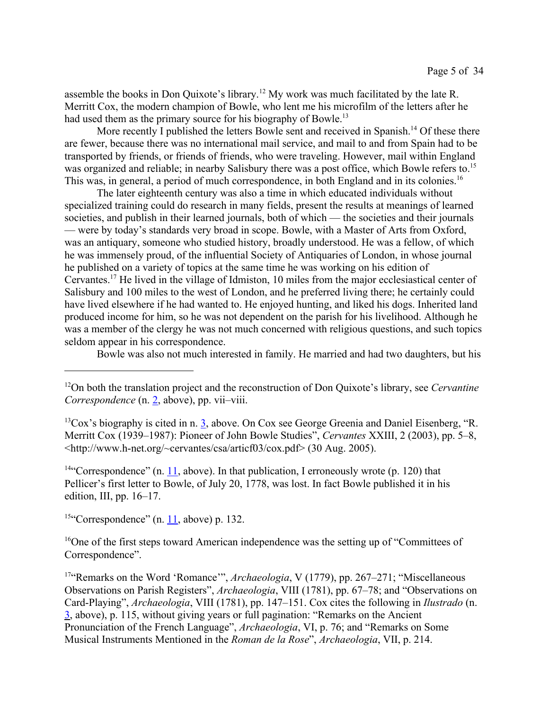assemble the books in Don Quixote's library.<sup>12</sup> My work was much facilitated by the late R. Merritt Cox, the modern champion of Bowle, who lent me his microfilm of the letters after he had used them as the primary source for his biography of Bowle.<sup>13</sup>

More recently I published the letters Bowle sent and received in Spanish.<sup>14</sup> Of these there are fewer, because there was no international mail service, and mail to and from Spain had to be transported by friends, or friends of friends, who were traveling. However, mail within England was organized and reliable; in nearby Salisbury there was a post office, which Bowle refers to.<sup>15</sup> This was, in general, a period of much correspondence, in both England and in its colonies.<sup>16</sup>

The later eighteenth century was also a time in which educated individuals without specialized training could do research in many fields, present the results at meanings of learned societies, and publish in their learned journals, both of which — the societies and their journals — were by today's standards very broad in scope. Bowle, with a Master of Arts from Oxford, was an antiquary, someone who studied history, broadly understood. He was a fellow, of which he was immensely proud, of the influential Society of Antiquaries of London, in whose journal he published on a variety of topics at the same time he was working on his edition of Cervantes.<sup>17</sup> He lived in the village of Idmiston, 10 miles from the major ecclesiastical center of Salisbury and 100 miles to the west of London, and he preferred living there; he certainly could have lived elsewhere if he had wanted to. He enjoyed hunting, and liked his dogs. Inherited land produced income for him, so he was not dependent on the parish for his livelihood. Although he was a member of the clergy he was not much concerned with religious questions, and such topics seldom appear in his correspondence.

Bowle was also not much interested in family. He married and had two daughters, but his

 $13\text{Cox}$ 's biography is cited in n. 3, above. On Cox see George Greenia and Daniel Eisenberg, "R. Merritt Cox (1939–1987): Pioneer of John Bowle Studies", *Cervantes* XXIII, 2 (2003), pp. 5–8, <http://www.h-net.org/~cervantes/csa/articf03/cox.pdf> (30 Aug. 2005).

<sup>14"</sup>Correspondence" (n. 11, above). In that publication, I erroneously wrote (p. 120) that Pellicer's first letter to Bowle, of July 20, 1778, was lost. In fact Bowle published it in his edition, III, pp. 16–17.

<sup>15"</sup>Correspondence" (n. 11, above) p. 132.

<sup>16</sup>One of the first steps toward American independence was the setting up of "Committees of Correspondence".

<sup>17</sup>"Remarks on the Word 'Romance'", *Archaeologia*, V (1779), pp. 267–271; "Miscellaneous Observations on Parish Registers", *Archaeologia*, VIII (1781), pp. 67–78; and "Observations on Card-Playing", *Archaeologia*, VIII (1781), pp. 147–151. Cox cites the following in *Ilustrado* (n. 3, above), p. 115, without giving years or full pagination: "Remarks on the Ancient Pronunciation of the French Language", *Archaeologia*, VI, p. 76; and "Remarks on Some Musical Instruments Mentioned in the *Roman de la Rose*", *Archaeologia*, VII, p. 214.

<sup>12</sup>On both the translation project and the reconstruction of Don Quixote's library, see *Cervantine Correspondence* (n. 2, above), pp. vii–viii.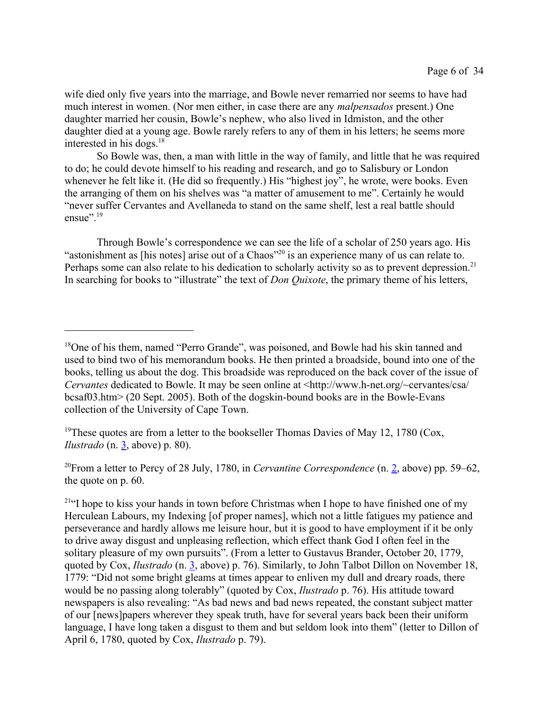wife died only five years into the marriage, and Bowle never remarried nor seems to have had much interest in women. (Nor men either, in case there are any *malpensados* present.) One daughter married her cousin, Bowle's nephew, who also lived in Idmiston, and the other daughter died at a young age. Bowle rarely refers to any of them in his letters; he seems more interested in his dogs. $18$ 

So Bowle was, then, a man with little in the way of family, and little that he was required to do; he could devote himself to his reading and research, and go to Salisbury or London whenever he felt like it. (He did so frequently.) His "highest joy", he wrote, were books. Even the arranging of them on his shelves was "a matter of amusement to me". Certainly he would "never suffer Cervantes and Avellaneda to stand on the same shelf, lest a real battle should ensue".<sup>19</sup>

Through Bowle's correspondence we can see the life of a scholar of 250 years ago. His "astonishment as [his notes] arise out of a Chaos"<sup>20</sup> is an experience many of us can relate to. Perhaps some can also relate to his dedication to scholarly activity so as to prevent depression.<sup>21</sup> In searching for books to "illustrate" the text of *Don Quixote*, the primary theme of his letters,

<sup>&</sup>lt;sup>18</sup>One of his them, named "Perro Grande", was poisoned, and Bowle had his skin tanned and used to bind two of his memorandum books. He then printed a broadside, bound into one of the books, telling us about the dog. This broadside was reproduced on the back cover of the issue of *Cervantes* dedicated to Bowle. It may be seen online at <http://www.h-net.org/~cervantes/csa/ bcsaf03.htm> (20 Sept. 2005). Both of the dogskin-bound books are in the Bowle-Evans collection of the University of Cape Town.

<sup>&</sup>lt;sup>19</sup>These quotes are from a letter to the bookseller Thomas Davies of May 12, 1780 (Cox, *Ilustrado* (n. 3, above) p. 80).

<sup>20</sup>From a letter to Percy of 28 July, 1780, in *Cervantine Correspondence* (n. 2, above) pp. 59–62, the quote on p. 60.

<sup>&</sup>lt;sup>21"</sup>I hope to kiss your hands in town before Christmas when I hope to have finished one of my Herculean Labours, my Indexing [of proper names], which not a little fatigues my patience and perseverance and hardly allows me leisure hour, but it is good to have employment if it be only to drive away disgust and unpleasing reflection, which effect thank God I often feel in the solitary pleasure of my own pursuits". (From a letter to Gustavus Brander, October 20, 1779, quoted by Cox, *Ilustrado* (n. 3, above) p. 76). Similarly, to John Talbot Dillon on November 18, 1779: "Did not some bright gleams at times appear to enliven my dull and dreary roads, there would be no passing along tolerably" (quoted by Cox, *Ilustrado* p. 76). His attitude toward newspapers is also revealing: "As bad news and bad news repeated, the constant subject matter of our [news]papers wherever they speak truth, have for several years back been their uniform language, I have long taken a disgust to them and but seldom look into them" (letter to Dillon of April 6, 1780, quoted by Cox, *Ilustrado* p. 79).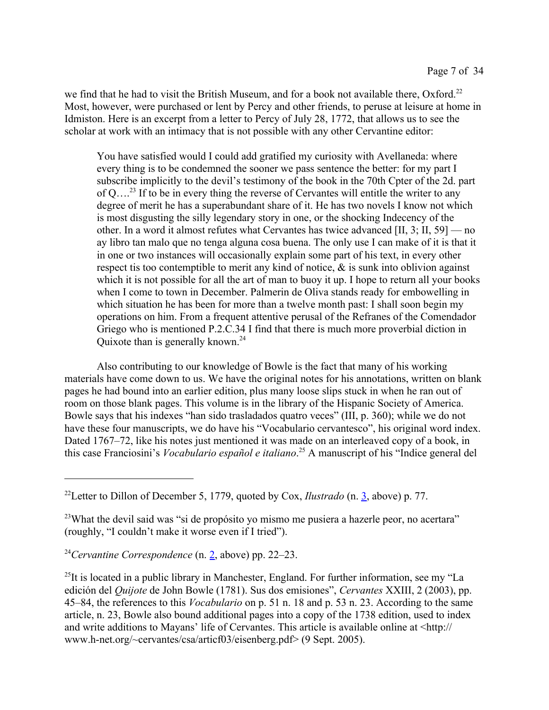we find that he had to visit the British Museum, and for a book not available there,  $Oxford.<sup>22</sup>$ Most, however, were purchased or lent by Percy and other friends, to peruse at leisure at home in Idmiston. Here is an excerpt from a letter to Percy of July 28, 1772, that allows us to see the scholar at work with an intimacy that is not possible with any other Cervantine editor:

You have satisfied would I could add gratified my curiosity with Avellaneda: where every thing is to be condemned the sooner we pass sentence the better: for my part I subscribe implicitly to the devil's testimony of the book in the 70th Cpter of the 2d. part of  $Q_{\ldots}^{23}$  If to be in every thing the reverse of Cervantes will entitle the writer to any degree of merit he has a superabundant share of it. He has two novels I know not which is most disgusting the silly legendary story in one, or the shocking Indecency of the other. In a word it almost refutes what Cervantes has twice advanced [II, 3; II, 59] — no ay libro tan malo que no tenga alguna cosa buena. The only use I can make of it is that it in one or two instances will occasionally explain some part of his text, in every other respect tis too contemptible to merit any kind of notice, & is sunk into oblivion against which it is not possible for all the art of man to buoy it up. I hope to return all your books when I come to town in December. Palmerin de Oliva stands ready for embowelling in which situation he has been for more than a twelve month past: I shall soon begin my operations on him. From a frequent attentive perusal of the Refranes of the Comendador Griego who is mentioned P.2.C.34 I find that there is much more proverbial diction in Quixote than is generally known.<sup>24</sup>

Also contributing to our knowledge of Bowle is the fact that many of his working materials have come down to us. We have the original notes for his annotations, written on blank pages he had bound into an earlier edition, plus many loose slips stuck in when he ran out of room on those blank pages. This volume is in the library of the Hispanic Society of America. Bowle says that his indexes "han sido trasladados quatro veces" (III, p. 360); while we do not have these four manuscripts, we do have his "Vocabulario cervantesco", his original word index. Dated 1767–72, like his notes just mentioned it was made on an interleaved copy of a book, in this case Franciosini's *Vocabulario español e italiano*. 25 A manuscript of his "Indice general del

<sup>24</sup>*Cervantine Correspondence* (n. 2, above) pp. 22–23.

<sup>22</sup>Letter to Dillon of December 5, 1779, quoted by Cox, *Ilustrado* (n. 3, above) p. 77.

<sup>&</sup>lt;sup>23</sup>What the devil said was "si de propósito yo mismo me pusiera a hazerle peor, no acertara" (roughly, "I couldn't make it worse even if I tried").

 $^{25}$ It is located in a public library in Manchester, England. For further information, see my "La edición del *Quijote* de John Bowle (1781). Sus dos emisiones", *Cervantes* XXIII, 2 (2003), pp. 45–84, the references to this *Vocabulario* on p. 51 n. 18 and p. 53 n. 23. According to the same article, n. 23, Bowle also bound additional pages into a copy of the 1738 edition, used to index and write additions to Mayans' life of Cervantes. This article is available online at <http:// www.h-net.org/~cervantes/csa/articf03/eisenberg.pdf> (9 Sept. 2005).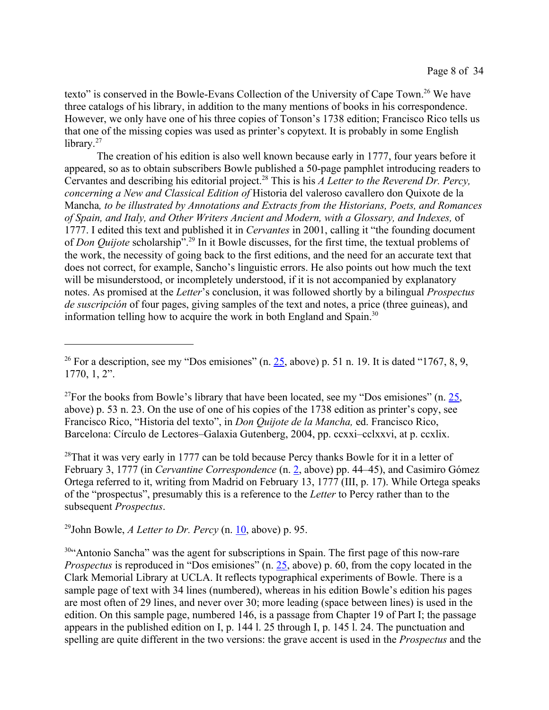texto" is conserved in the Bowle-Evans Collection of the University of Cape Town.<sup>26</sup> We have three catalogs of his library, in addition to the many mentions of books in his correspondence. However, we only have one of his three copies of Tonson's 1738 edition; Francisco Rico tells us that one of the missing copies was used as printer's copytext. It is probably in some English library. $27$ 

The creation of his edition is also well known because early in 1777, four years before it appeared, so as to obtain subscribers Bowle published a 50-page pamphlet introducing readers to Cervantes and describing his editorial project.<sup>28</sup> This is his *A Letter to the Reverend Dr. Percy, concerning a New and Classical Edition of* Historia del valeroso cavallero don Quixote de la Mancha*, to be illustrated by Annotations and Extracts from the Historians, Poets, and Romances of Spain, and Italy, and Other Writers Ancient and Modern, with a Glossary, and Indexes,* of 1777. I edited this text and published it in *Cervantes* in 2001, calling it "the founding document of *Don Quijote* scholarship".<sup>29</sup> In it Bowle discusses, for the first time, the textual problems of the work, the necessity of going back to the first editions, and the need for an accurate text that does not correct, for example, Sancho's linguistic errors. He also points out how much the text will be misunderstood, or incompletely understood, if it is not accompanied by explanatory notes. As promised at the *Letter*'s conclusion, it was followed shortly by a bilingual *Prospectus de suscripción* of four pages, giving samples of the text and notes, a price (three guineas), and information telling how to acquire the work in both England and Spain.<sup>30</sup>

<sup>27</sup>For the books from Bowle's library that have been located, see my "Dos emisiones" (n.  $25$ , above) p. 53 n. 23. On the use of one of his copies of the 1738 edition as printer's copy, see Francisco Rico, "Historia del texto", in *Don Quijote de la Mancha,* ed. Francisco Rico, Barcelona: Círculo de Lectores–Galaxia Gutenberg, 2004, pp. ccxxi–cclxxvi, at p. ccxlix.

 $28$ That it was very early in 1777 can be told because Percy thanks Bowle for it in a letter of February 3, 1777 (in *Cervantine Correspondence* (n. 2, above) pp. 44–45), and Casimiro Gómez Ortega referred to it, writing from Madrid on February 13, 1777 (III, p. 17). While Ortega speaks of the "prospectus", presumably this is a reference to the *Letter* to Percy rather than to the subsequent *Prospectus*.

<sup>29</sup>John Bowle, *A Letter to Dr. Percy* (n. 10, above) p. 95.

<sup>30</sup>"Antonio Sancha" was the agent for subscriptions in Spain. The first page of this now-rare *Prospectus* is reproduced in "Dos emisiones" (n. 25, above) p. 60, from the copy located in the Clark Memorial Library at UCLA. It reflects typographical experiments of Bowle. There is a sample page of text with 34 lines (numbered), whereas in his edition Bowle's edition his pages are most often of 29 lines, and never over 30; more leading (space between lines) is used in the edition. On this sample page, numbered 146, is a passage from Chapter 19 of Part I; the passage appears in the published edition on I, p. 144 l. 25 through I, p. 145 l. 24. The punctuation and spelling are quite different in the two versions: the grave accent is used in the *Prospectus* and the

<sup>&</sup>lt;sup>26</sup> For a description, see my "Dos emisiones" (n. 25, above) p. 51 n. 19. It is dated "1767, 8, 9, 1770, 1, 2".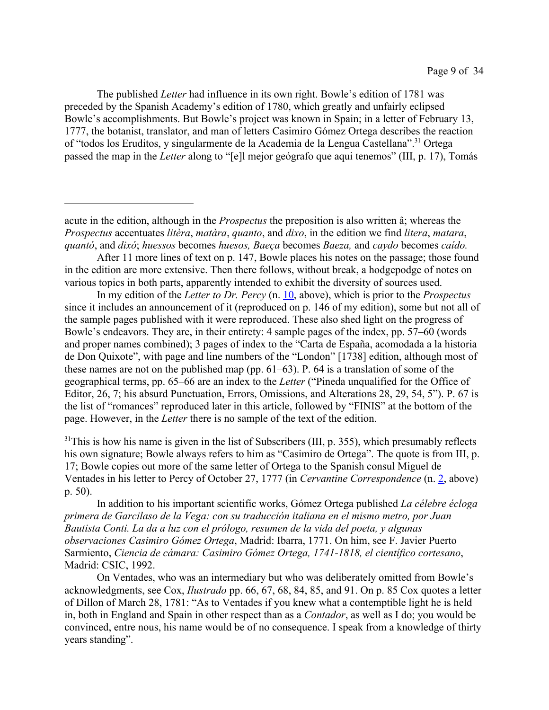The published *Letter* had influence in its own right. Bowle's edition of 1781 was preceded by the Spanish Academy's edition of 1780, which greatly and unfairly eclipsed Bowle's accomplishments. But Bowle's project was known in Spain; in a letter of February 13, 1777, the botanist, translator, and man of letters Casimiro Gómez Ortega describes the reaction of "todos los Eruditos, y singularmente de la Academia de la Lengua Castellana".<sup>31</sup> Ortega passed the map in the *Letter* along to "[e]l mejor geógrafo que aqui tenemos" (III, p. 17), Tomás

In my edition of the *Letter to Dr. Percy* (n. 10, above), which is prior to the *Prospectus* since it includes an announcement of it (reproduced on p. 146 of my edition), some but not all of the sample pages published with it were reproduced. These also shed light on the progress of Bowle's endeavors. They are, in their entirety: 4 sample pages of the index, pp. 57–60 (words and proper names combined); 3 pages of index to the "Carta de España, acomodada a la historia de Don Quixote", with page and line numbers of the "London" [1738] edition, although most of these names are not on the published map (pp. 61–63). P. 64 is a translation of some of the geographical terms, pp. 65–66 are an index to the *Letter* ("Pineda unqualified for the Office of Editor, 26, 7; his absurd Punctuation, Errors, Omissions, and Alterations 28, 29, 54, 5"). P. 67 is the list of "romances" reproduced later in this article, followed by "FINIS" at the bottom of the page. However, in the *Letter* there is no sample of the text of the edition.

 $31$ This is how his name is given in the list of Subscribers (III, p. 355), which presumably reflects his own signature; Bowle always refers to him as "Casimiro de Ortega". The quote is from III, p. 17; Bowle copies out more of the same letter of Ortega to the Spanish consul Miguel de Ventades in his letter to Percy of October 27, 1777 (in *Cervantine Correspondence* (n. 2, above) p. 50).

In addition to his important scientific works, Gómez Ortega published *La célebre écloga primera de Garcilaso de la Vega: con su traducción italiana en el mismo metro, por Juan Bautista Conti. La da a luz con el prólogo, resumen de la vida del poeta, y algunas observaciones Casimiro Gómez Ortega*, Madrid: Ibarra, 1771. On him, see F. Javier Puerto Sarmiento, *Ciencia de cámara: Casimiro Gómez Ortega, 1741-1818, el científico cortesano*, Madrid: CSIC, 1992.

On Ventades, who was an intermediary but who was deliberately omitted from Bowle's acknowledgments, see Cox, *Ilustrado* pp. 66, 67, 68, 84, 85, and 91. On p. 85 Cox quotes a letter of Dillon of March 28, 1781: "As to Ventades if you knew what a contemptible light he is held in, both in England and Spain in other respect than as a *Contador*, as well as I do; you would be convinced, entre nous, his name would be of no consequence. I speak from a knowledge of thirty years standing".

acute in the edition, although in the *Prospectus* the preposition is also written â; whereas the *Prospectus* accentuates *litèra*, *matàra*, *quanto*, and *dixo*, in the edition we find *litera*, *matara*, *quantó*, and *dixó*; *huessos* becomes *huesos, Baeça* becomes *Baeza,* and *caydo* becomes *caído.*

After 11 more lines of text on p. 147, Bowle places his notes on the passage; those found in the edition are more extensive. Then there follows, without break, a hodgepodge of notes on various topics in both parts, apparently intended to exhibit the diversity of sources used.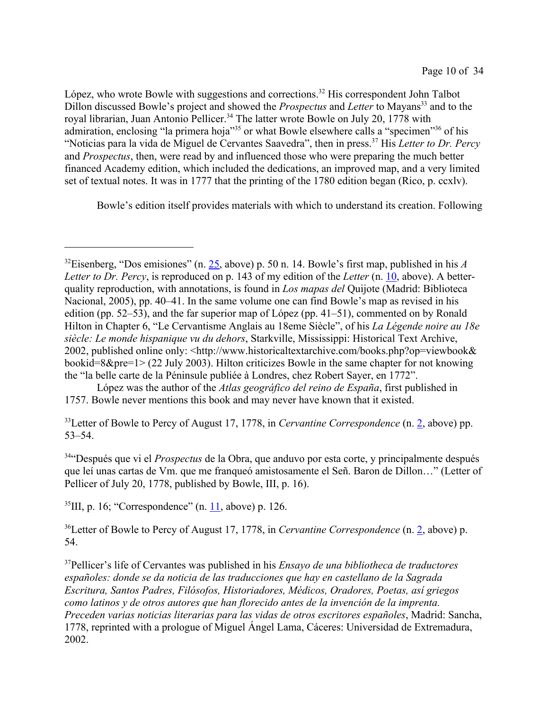López, who wrote Bowle with suggestions and corrections.<sup>32</sup> His correspondent John Talbot Dillon discussed Bowle's project and showed the *Prospectus* and *Letter* to Mayans<sup>33</sup> and to the royal librarian, Juan Antonio Pellicer.<sup>34</sup> The latter wrote Bowle on July 20, 1778 with admiration, enclosing "la primera hoja"<sup>35</sup> or what Bowle elsewhere calls a "specimen"<sup>36</sup> of his "Noticias para la vida de Miguel de Cervantes Saavedra", then in press.<sup>37</sup> His *Letter to Dr. Percy* and *Prospectus*, then, were read by and influenced those who were preparing the much better financed Academy edition, which included the dedications, an improved map, and a very limited set of textual notes. It was in 1777 that the printing of the 1780 edition began (Rico, p. ccxlv).

Bowle's edition itself provides materials with which to understand its creation. Following

López was the author of the *Atlas geográfico del reino de España*, first published in 1757. Bowle never mentions this book and may never have known that it existed.

<sup>33</sup>Letter of Bowle to Percy of August 17, 1778, in *Cervantine Correspondence* (n. 2, above) pp. 53–54.

<sup>34</sup>"Después que vi el *Prospectus* de la Obra, que anduvo por esta corte, y principalmente después que leí unas cartas de Vm. que me franqueó amistosamente el Señ. Baron de Dillon…" (Letter of Pellicer of July 20, 1778, published by Bowle, III, p. 16).

<sup>35</sup>III, p. 16; "Correspondence" (n.  $11$ , above) p. 126.

<sup>36</sup>Letter of Bowle to Percy of August 17, 1778, in *Cervantine Correspondence* (n. 2, above) p. 54.

<sup>37</sup>Pellicer's life of Cervantes was published in his *Ensayo de una bibliotheca de traductores españoles: donde se da noticia de las traducciones que hay en castellano de la Sagrada Escritura, Santos Padres, Filósofos, Historiadores, Médicos, Oradores, Poetas, así griegos como latinos y de otros autores que han florecido antes de la invención de la imprenta. Preceden varias noticias literarias para las vidas de otros escritores españoles*, Madrid: Sancha, 1778, reprinted with a prologue of Miguel Ángel Lama, Cáceres: Universidad de Extremadura, 2002.

<sup>32</sup>Eisenberg, "Dos emisiones" (n. 25, above) p. 50 n. 14. Bowle's first map, published in his *A Letter to Dr. Percy*, is reproduced on p. 143 of my edition of the *Letter* (n. 10, above). A betterquality reproduction, with annotations, is found in *Los mapas del* Quijote (Madrid: Biblioteca Nacional, 2005), pp. 40–41. In the same volume one can find Bowle's map as revised in his edition (pp. 52–53), and the far superior map of López (pp. 41–51), commented on by Ronald Hilton in Chapter 6, "Le Cervantisme Anglais au 18eme Siècle", of his *La Légende noire au 18e siècle: Le monde hispanique vu du dehors*, Starkville, Mississippi: Historical Text Archive, 2002, published online only: <http://www.historicaltextarchive.com/books.php?op=viewbook& bookid=8&pre=1> (22 July 2003). Hilton criticizes Bowle in the same chapter for not knowing the "la belle carte de la Péninsule publiée à Londres, chez Robert Sayer, en 1772".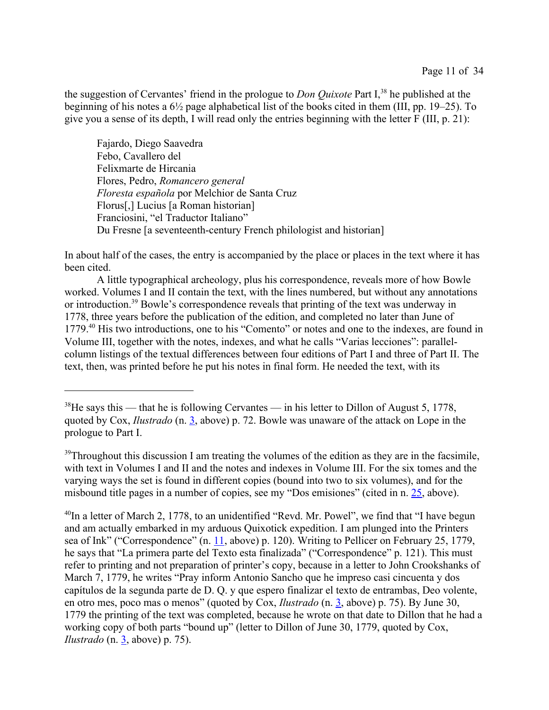the suggestion of Cervantes' friend in the prologue to *Don Quixote* Part I,<sup>38</sup> he published at the beginning of his notes a 6½ page alphabetical list of the books cited in them (III, pp. 19–25). To give you a sense of its depth, I will read only the entries beginning with the letter F (III, p. 21):

Fajardo, Diego Saavedra Febo, Cavallero del Felixmarte de Hircania Flores, Pedro, *Romancero general Floresta española* por Melchior de Santa Cruz Florus[,] Lucius [a Roman historian] Franciosini, "el Traductor Italiano" Du Fresne [a seventeenth-century French philologist and historian]

In about half of the cases, the entry is accompanied by the place or places in the text where it has been cited.

A little typographical archeology, plus his correspondence, reveals more of how Bowle worked. Volumes I and II contain the text, with the lines numbered, but without any annotations or introduction.<sup>39</sup> Bowle's correspondence reveals that printing of the text was underway in 1778, three years before the publication of the edition, and completed no later than June of 1779.<sup>40</sup> His two introductions, one to his "Comento" or notes and one to the indexes, are found in Volume III, together with the notes, indexes, and what he calls "Varias lecciones": parallelcolumn listings of the textual differences between four editions of Part I and three of Part II. The text, then, was printed before he put his notes in final form. He needed the text, with its

<sup>39</sup>Throughout this discussion I am treating the volumes of the edition as they are in the facsimile, with text in Volumes I and II and the notes and indexes in Volume III. For the six tomes and the varying ways the set is found in different copies (bound into two to six volumes), and for the misbound title pages in a number of copies, see my "Dos emisiones" (cited in n. 25, above).

<sup>40</sup>In a letter of March 2, 1778, to an unidentified "Revd. Mr. Powel", we find that "I have begun and am actually embarked in my arduous Quixotick expedition. I am plunged into the Printers sea of Ink" ("Correspondence" (n. 11, above) p. 120). Writing to Pellicer on February 25, 1779, he says that "La primera parte del Texto esta finalizada" ("Correspondence" p. 121). This must refer to printing and not preparation of printer's copy, because in a letter to John Crookshanks of March 7, 1779, he writes "Pray inform Antonio Sancho que he impreso casi cincuenta y dos capítulos de la segunda parte de D. Q. y que espero finalizar el texto de entrambas, Deo volente, en otro mes, poco mas o menos" (quoted by Cox, *Ilustrado* (n. 3, above) p. 75). By June 30, 1779 the printing of the text was completed, because he wrote on that date to Dillon that he had a working copy of both parts "bound up" (letter to Dillon of June 30, 1779, quoted by Cox, *Ilustrado* (n. 3, above) p. 75).

 $38$ He says this — that he is following Cervantes — in his letter to Dillon of August 5, 1778, quoted by Cox, *Ilustrado* (n. 3, above) p. 72. Bowle was unaware of the attack on Lope in the prologue to Part I.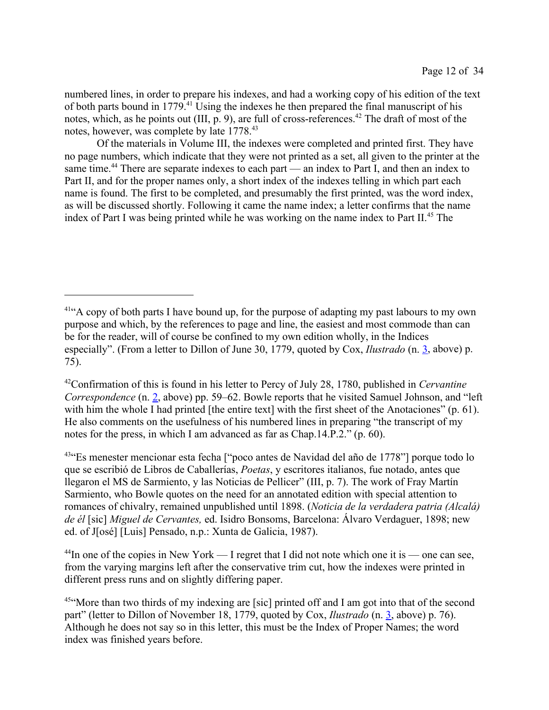numbered lines, in order to prepare his indexes, and had a working copy of his edition of the text of both parts bound in 1779.<sup>41</sup> Using the indexes he then prepared the final manuscript of his notes, which, as he points out (III, p. 9), are full of cross-references.<sup>42</sup> The draft of most of the notes, however, was complete by late 1778.<sup>43</sup>

Of the materials in Volume III, the indexes were completed and printed first. They have no page numbers, which indicate that they were not printed as a set, all given to the printer at the same time.<sup>44</sup> There are separate indexes to each part — an index to Part I, and then an index to Part II, and for the proper names only, a short index of the indexes telling in which part each name is found. The first to be completed, and presumably the first printed, was the word index, as will be discussed shortly. Following it came the name index; a letter confirms that the name index of Part I was being printed while he was working on the name index to Part II.<sup>45</sup> The

<sup>43"</sup>Es menester mencionar esta fecha ["poco antes de Navidad del año de 1778"] porque todo lo que se escribió de Libros de Caballerías, *Poetas*, y escritores italianos, fue notado, antes que llegaron el MS de Sarmiento, y las Noticias de Pellicer" (III, p. 7). The work of Fray Martín Sarmiento, who Bowle quotes on the need for an annotated edition with special attention to romances of chivalry, remained unpublished until 1898. (*Noticia de la verdadera patria (Alcalá) de él* [sic] *Miguel de Cervantes,* ed. Isidro Bonsoms, Barcelona: Álvaro Verdaguer, 1898; new ed. of J[osé] [Luis] Pensado, n.p.: Xunta de Galicia, 1987).

 $^{44}$ In one of the copies in New York — I regret that I did not note which one it is — one can see, from the varying margins left after the conservative trim cut, how the indexes were printed in different press runs and on slightly differing paper.

 $41^\circ$ A copy of both parts I have bound up, for the purpose of adapting my past labours to my own purpose and which, by the references to page and line, the easiest and most commode than can be for the reader, will of course be confined to my own edition wholly, in the Indices especially". (From a letter to Dillon of June 30, 1779, quoted by Cox, *Ilustrado* (n. 3, above) p. 75).

<sup>42</sup>Confirmation of this is found in his letter to Percy of July 28, 1780, published in *Cervantine Correspondence* (n. 2, above) pp. 59–62. Bowle reports that he visited Samuel Johnson, and "left with him the whole I had printed [the entire text] with the first sheet of the Anotaciones" (p. 61). He also comments on the usefulness of his numbered lines in preparing "the transcript of my notes for the press, in which I am advanced as far as Chap.14.P.2." (p. 60).

<sup>&</sup>lt;sup>45"</sup>More than two thirds of my indexing are [sic] printed off and I am got into that of the second part" (letter to Dillon of November 18, 1779, quoted by Cox, *Ilustrado* (n. 3, above) p. 76). Although he does not say so in this letter, this must be the Index of Proper Names; the word index was finished years before.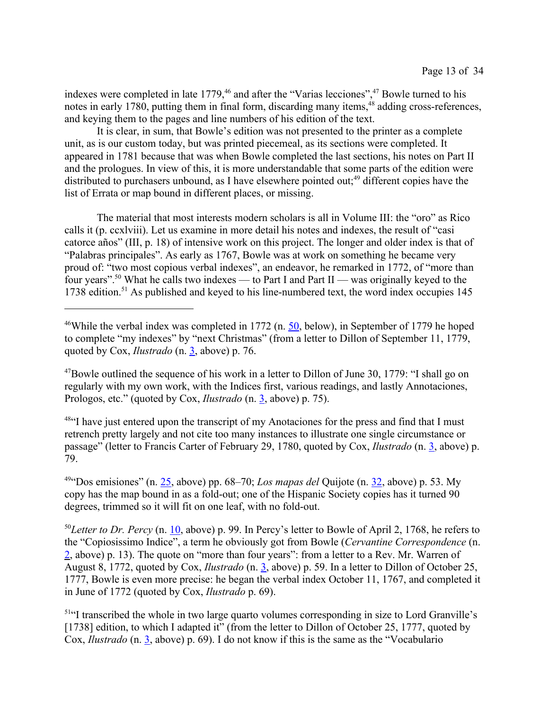indexes were completed in late  $1779<sup>46</sup>$  and after the "Varias lecciones",  $47$  Bowle turned to his notes in early 1780, putting them in final form, discarding many items,  $48$  adding cross-references, and keying them to the pages and line numbers of his edition of the text.

It is clear, in sum, that Bowle's edition was not presented to the printer as a complete unit, as is our custom today, but was printed piecemeal, as its sections were completed. It appeared in 1781 because that was when Bowle completed the last sections, his notes on Part II and the prologues. In view of this, it is more understandable that some parts of the edition were distributed to purchasers unbound, as I have elsewhere pointed out; $49$  different copies have the list of Errata or map bound in different places, or missing.

The material that most interests modern scholars is all in Volume III: the "oro" as Rico calls it (p. ccxlviii). Let us examine in more detail his notes and indexes, the result of "casi catorce años" (III, p. 18) of intensive work on this project. The longer and older index is that of "Palabras principales". As early as 1767, Bowle was at work on something he became very proud of: "two most copious verbal indexes", an endeavor, he remarked in 1772, of "more than four years".<sup>50</sup> What he calls two indexes — to Part I and Part II — was originally keyed to the  $1738$  edition.<sup>51</sup> As published and keyed to his line-numbered text, the word index occupies 145

 $47$ Bowle outlined the sequence of his work in a letter to Dillon of June 30, 1779: "I shall go on regularly with my own work, with the Indices first, various readings, and lastly Annotaciones, Prologos, etc." (quoted by Cox, *Ilustrado* (n. 3, above) p. 75).

<sup>48"</sup>I have just entered upon the transcript of my Anotaciones for the press and find that I must retrench pretty largely and not cite too many instances to illustrate one single circumstance or passage" (letter to Francis Carter of February 29, 1780, quoted by Cox, *Ilustrado* (n. 3, above) p. 79.

<sup>49</sup>"Dos emisiones" (n. 25, above) pp. 68–70; *Los mapas del* Quijote (n. 32, above) p. 53. My copy has the map bound in as a fold-out; one of the Hispanic Society copies has it turned 90 degrees, trimmed so it will fit on one leaf, with no fold-out.

<sup>50</sup>*Letter to Dr. Percy* (n. 10, above) p. 99. In Percy's letter to Bowle of April 2, 1768, he refers to the "Copiosissimo Indice", a term he obviously got from Bowle (*Cervantine Correspondence* (n. 2, above) p. 13). The quote on "more than four years": from a letter to a Rev. Mr. Warren of August 8, 1772, quoted by Cox, *Ilustrado* (n. 3, above) p. 59. In a letter to Dillon of October 25, 1777, Bowle is even more precise: he began the verbal index October 11, 1767, and completed it in June of 1772 (quoted by Cox, *Ilustrado* p. 69).

<sup>51</sup>"I transcribed the whole in two large quarto volumes corresponding in size to Lord Granville's [1738] edition, to which I adapted it" (from the letter to Dillon of October 25, 1777, quoted by Cox, *Ilustrado* (n. 3, above) p. 69). I do not know if this is the same as the "Vocabulario

<sup>&</sup>lt;sup>46</sup>While the verbal index was completed in 1772 (n.  $50$ , below), in September of 1779 he hoped to complete "my indexes" by "next Christmas" (from a letter to Dillon of September 11, 1779, quoted by Cox, *Ilustrado* (n. 3, above) p. 76.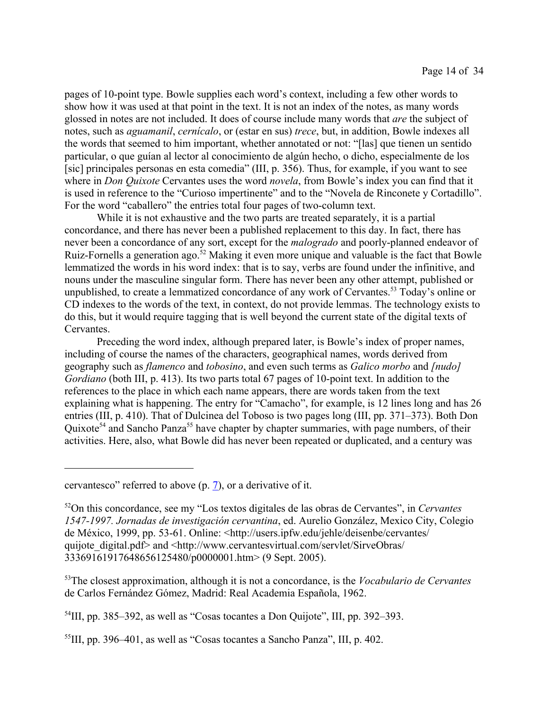pages of 10-point type. Bowle supplies each word's context, including a few other words to show how it was used at that point in the text. It is not an index of the notes, as many words glossed in notes are not included. It does of course include many words that *are* the subject of notes, such as *aguamanil*, *cernícalo*, or (estar en sus) *trece*, but, in addition, Bowle indexes all the words that seemed to him important, whether annotated or not: "[las] que tienen un sentido particular, o que guían al lector al conocimiento de algún hecho, o dicho, especialmente de los [sic] principales personas en esta comedia" (III, p. 356). Thus, for example, if you want to see where in *Don Quixote* Cervantes uses the word *novela*, from Bowle's index you can find that it is used in reference to the "Curioso impertinente" and to the "Novela de Rinconete y Cortadillo". For the word "caballero" the entries total four pages of two-column text.

While it is not exhaustive and the two parts are treated separately, it is a partial concordance, and there has never been a published replacement to this day. In fact, there has never been a concordance of any sort, except for the *malogrado* and poorly-planned endeavor of Ruiz-Fornells a generation ago.<sup>52</sup> Making it even more unique and valuable is the fact that Bowle lemmatized the words in his word index: that is to say, verbs are found under the infinitive, and nouns under the masculine singular form. There has never been any other attempt, published or unpublished, to create a lemmatized concordance of any work of Cervantes.<sup>53</sup> Today's online or CD indexes to the words of the text, in context, do not provide lemmas. The technology exists to do this, but it would require tagging that is well beyond the current state of the digital texts of Cervantes.

Preceding the word index, although prepared later, is Bowle's index of proper names, including of course the names of the characters, geographical names, words derived from geography such as *flamenco* and *tobosino*, and even such terms as *Galico morbo* and *[nudo] Gordiano* (both III, p. 413). Its two parts total 67 pages of 10-point text. In addition to the references to the place in which each name appears, there are words taken from the text explaining what is happening. The entry for "Camacho", for example, is 12 lines long and has 26 entries (III, p. 410). That of Dulcinea del Toboso is two pages long (III, pp. 371–373). Both Don Quixote<sup>54</sup> and Sancho Panza<sup>55</sup> have chapter by chapter summaries, with page numbers, of their activities. Here, also, what Bowle did has never been repeated or duplicated, and a century was

<sup>53</sup>The closest approximation, although it is not a concordance, is the *Vocabulario de Cervantes* de Carlos Fernández Gómez, Madrid: Real Academia Española, 1962.

 $^{54}$ III, pp. 385–392, as well as "Cosas tocantes a Don Quijote", III, pp. 392–393.

 $^{55}$ III, pp. 396–401, as well as "Cosas tocantes a Sancho Panza", III, p. 402.

cervantesco" referred to above (p. 7), or a derivative of it.

<sup>52</sup>On this concordance, see my "Los textos digitales de las obras de Cervantes", in *Cervantes 1547-1997. Jornadas de investigación cervantina*, ed. Aurelio González, Mexico City, Colegio de México, 1999, pp. 53-61. Online: <http://users.ipfw.edu/jehle/deisenbe/cervantes/ quijote\_digital.pdf> and <http://www.cervantesvirtual.com/servlet/SirveObras/ 33369161917648656125480/p0000001.htm> (9 Sept. 2005).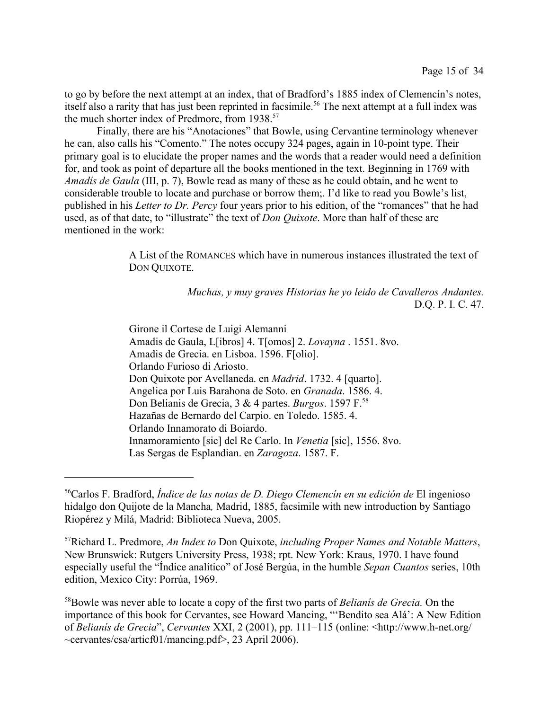to go by before the next attempt at an index, that of Bradford's 1885 index of Clemencín's notes, itself also a rarity that has just been reprinted in facsimile.<sup>56</sup> The next attempt at a full index was the much shorter index of Predmore, from 1938.<sup>57</sup>

Finally, there are his "Anotaciones" that Bowle, using Cervantine terminology whenever he can, also calls his "Comento." The notes occupy 324 pages, again in 10-point type. Their primary goal is to elucidate the proper names and the words that a reader would need a definition for, and took as point of departure all the books mentioned in the text. Beginning in 1769 with *Amadís de Gaula* (III, p. 7), Bowle read as many of these as he could obtain, and he went to considerable trouble to locate and purchase or borrow them;. I'd like to read you Bowle's list, published in his *Letter to Dr. Percy* four years prior to his edition, of the "romances" that he had used, as of that date, to "illustrate" the text of *Don Quixote*. More than half of these are mentioned in the work:

> A List of the ROMANCES which have in numerous instances illustrated the text of DON QUIXOTE.

> > *Muchas, y muy graves Historias he yo leido de Cavalleros Andantes.* D.Q. P. I. C. 47.

Girone il Cortese de Luigi Alemanni Amadis de Gaula, L[ibros] 4. T[omos] 2. *Lovayna* . 1551. 8vo. Amadis de Grecia. en Lisboa. 1596. F[olio]. Orlando Furioso di Ariosto. Don Quixote por Avellaneda. en *Madrid*. 1732. 4 [quarto]. Angelica por Luis Barahona de Soto. en *Granada*. 1586. 4. Don Belianis de Grecia, 3 & 4 partes. *Burgos*. 1597 F.<sup>58</sup> Hazañas de Bernardo del Carpio. en Toledo. 1585. 4. Orlando Innamorato di Boiardo. Innamoramiento [sic] del Re Carlo. In *Venetia* [sic], 1556. 8vo. Las Sergas de Esplandian. en *Zaragoza*. 1587. F.

<sup>56</sup>Carlos F. Bradford, *Índice de las notas de D. Diego Clemencín en su edición de* El ingenioso hidalgo don Quijote de la Mancha*,* Madrid, 1885, facsimile with new introduction by Santiago Riopérez y Milá, Madrid: Biblioteca Nueva, 2005.

<sup>57</sup>Richard L. Predmore, *An Index to* Don Quixote, *including Proper Names and Notable Matters*, New Brunswick: Rutgers University Press, 1938; rpt. New York: Kraus, 1970. I have found especially useful the "Índice analítico" of José Bergúa, in the humble *Sepan Cuantos* series, 10th edition, Mexico City: Porrúa, 1969.

<sup>58</sup>Bowle was never able to locate a copy of the first two parts of *Belianís de Grecia.* On the importance of this book for Cervantes, see Howard Mancing, "'Bendito sea Alá': A New Edition of *Belianís de Grecia*", *Cervantes* XXI, 2 (2001), pp. 111–115 (online: <http://www.h-net.org/ ~cervantes/csa/articf01/mancing.pdf>, 23 April 2006).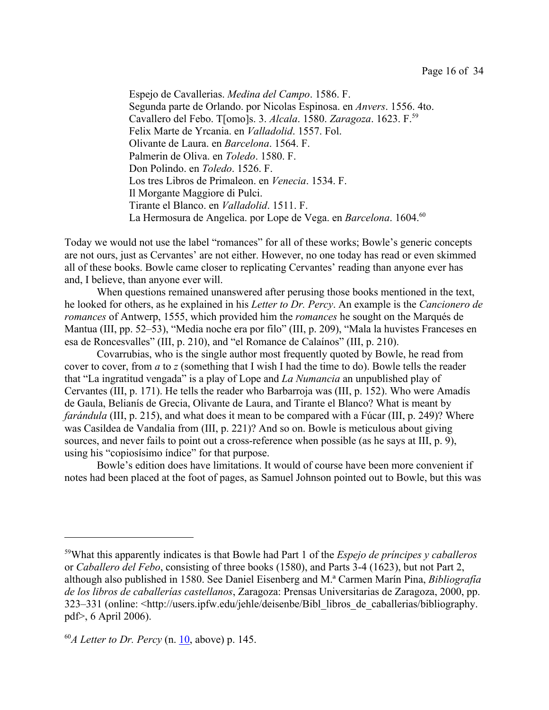Espejo de Cavallerias. *Medina del Campo*. 1586. F. Segunda parte de Orlando. por Nicolas Espinosa. en *Anvers*. 1556. 4to. Cavallero del Febo. T[omo]s. 3. *Alcala*. 1580. *Zaragoza*. 1623. F.<sup>59</sup> Felix Marte de Yrcania. en *Valladolid*. 1557. Fol. Olivante de Laura. en *Barcelona*. 1564. F. Palmerin de Oliva. en *Toledo*. 1580. F. Don Polindo. en *Toledo*. 1526. F. Los tres Libros de Primaleon. en *Venecia*. 1534. F. Il Morgante Maggiore di Pulci. Tirante el Blanco. en *Valladolid*. 1511. F. La Hermosura de Angelica. por Lope de Vega. en *Barcelona*. 1604.<sup>60</sup>

Today we would not use the label "romances" for all of these works; Bowle's generic concepts are not ours, just as Cervantes' are not either. However, no one today has read or even skimmed all of these books. Bowle came closer to replicating Cervantes' reading than anyone ever has and, I believe, than anyone ever will.

When questions remained unanswered after perusing those books mentioned in the text, he looked for others, as he explained in his *Letter to Dr. Percy*. An example is the *Cancionero de romances* of Antwerp, 1555, which provided him the *romances* he sought on the Marqués de Mantua (III, pp. 52–53), "Media noche era por filo" (III, p. 209), "Mala la huvistes Franceses en esa de Roncesvalles" (III, p. 210), and "el Romance de Calaínos" (III, p. 210).

Covarrubias, who is the single author most frequently quoted by Bowle, he read from cover to cover, from *a* to *z* (something that I wish I had the time to do). Bowle tells the reader that "La ingratitud vengada" is a play of Lope and *La Numancia* an unpublished play of Cervantes (III, p. 171). He tells the reader who Barbarroja was (III, p. 152). Who were Amadís de Gaula, Belianís de Grecia, Olivante de Laura, and Tirante el Blanco? What is meant by *farándula* (III, p. 215), and what does it mean to be compared with a Fúcar (III, p. 249)? Where was Casildea de Vandalia from (III, p. 221)? And so on. Bowle is meticulous about giving sources, and never fails to point out a cross-reference when possible (as he says at III, p. 9), using his "copiosísimo índice" for that purpose.

Bowle's edition does have limitations. It would of course have been more convenient if notes had been placed at the foot of pages, as Samuel Johnson pointed out to Bowle, but this was

<sup>59</sup>What this apparently indicates is that Bowle had Part 1 of the *Espejo de príncipes y caballeros* or *Caballero del Febo*, consisting of three books (1580), and Parts 3-4 (1623), but not Part 2, although also published in 1580. See Daniel Eisenberg and M.ª Carmen Marín Pina, *Bibliografía de los libros de caballerías castellanos*, Zaragoza: Prensas Universitarias de Zaragoza, 2000, pp. 323–331 (online: <http://users.ipfw.edu/jehle/deisenbe/Bibl\_libros\_de\_caballerias/bibliography. pdf>, 6 April 2006).

 $^{60}$ *A Letter to Dr. Percy* (n.  $10$ , above) p. 145.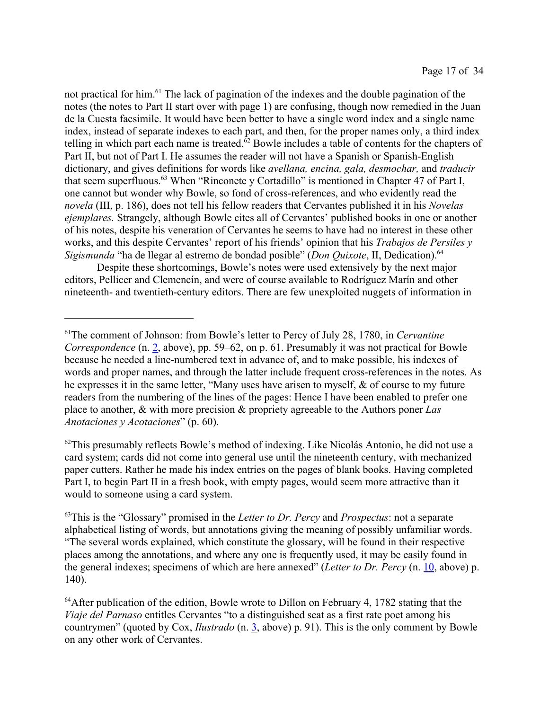not practical for him.<sup>61</sup> The lack of pagination of the indexes and the double pagination of the notes (the notes to Part II start over with page 1) are confusing, though now remedied in the Juan de la Cuesta facsimile. It would have been better to have a single word index and a single name index, instead of separate indexes to each part, and then, for the proper names only, a third index telling in which part each name is treated. $62$  Bowle includes a table of contents for the chapters of Part II, but not of Part I. He assumes the reader will not have a Spanish or Spanish-English dictionary, and gives definitions for words like *avellana, encina, gala, desmochar,* and *traducir* that seem superfluous.<sup>63</sup> When "Rinconete y Cortadillo" is mentioned in Chapter 47 of Part I, one cannot but wonder why Bowle, so fond of cross-references, and who evidently read the *novela* (III, p. 186), does not tell his fellow readers that Cervantes published it in his *Novelas ejemplares.* Strangely, although Bowle cites all of Cervantes' published books in one or another of his notes, despite his veneration of Cervantes he seems to have had no interest in these other works, and this despite Cervantes' report of his friends' opinion that his *Trabajos de Persiles y Sigismunda* "ha de llegar al estremo de bondad posible" (*Don Quixote*, II, Dedication).<sup>64</sup>

Despite these shortcomings, Bowle's notes were used extensively by the next major editors, Pellicer and Clemencín, and were of course available to Rodríguez Marín and other nineteenth- and twentieth-century editors. There are few unexploited nuggets of information in

 $62$ This presumably reflects Bowle's method of indexing. Like Nicolás Antonio, he did not use a card system; cards did not come into general use until the nineteenth century, with mechanized paper cutters. Rather he made his index entries on the pages of blank books. Having completed Part I, to begin Part II in a fresh book, with empty pages, would seem more attractive than it would to someone using a card system.

<sup>61</sup>The comment of Johnson: from Bowle's letter to Percy of July 28, 1780, in *Cervantine Correspondence* (n. 2, above), pp. 59–62, on p. 61. Presumably it was not practical for Bowle because he needed a line-numbered text in advance of, and to make possible, his indexes of words and proper names, and through the latter include frequent cross-references in the notes. As he expresses it in the same letter, "Many uses have arisen to myself, & of course to my future readers from the numbering of the lines of the pages: Hence I have been enabled to prefer one place to another, & with more precision & propriety agreeable to the Authors poner *Las Anotaciones y Acotaciones*" (p. 60).

<sup>63</sup>This is the "Glossary" promised in the *Letter to Dr. Percy* and *Prospectus*: not a separate alphabetical listing of words, but annotations giving the meaning of possibly unfamiliar words. "The several words explained, which constitute the glossary, will be found in their respective places among the annotations, and where any one is frequently used, it may be easily found in the general indexes; specimens of which are here annexed" (*Letter to Dr. Percy* (n. 10, above) p. 140).

 $64$ After publication of the edition, Bowle wrote to Dillon on February 4, 1782 stating that the *Viaje del Parnaso* entitles Cervantes "to a distinguished seat as a first rate poet among his countrymen" (quoted by Cox, *Ilustrado* (n. 3, above) p. 91). This is the only comment by Bowle on any other work of Cervantes.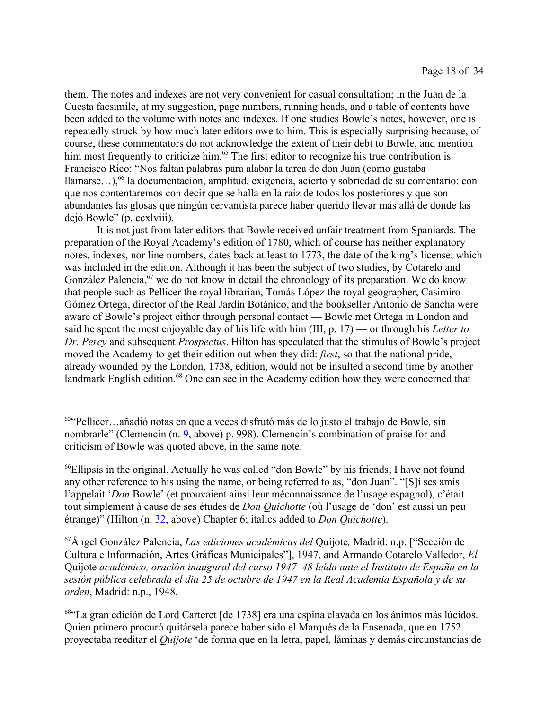them. The notes and indexes are not very convenient for casual consultation; in the Juan de la Cuesta facsimile, at my suggestion, page numbers, running heads, and a table of contents have been added to the volume with notes and indexes. If one studies Bowle's notes, however, one is repeatedly struck by how much later editors owe to him. This is especially surprising because, of course, these commentators do not acknowledge the extent of their debt to Bowle, and mention him most frequently to criticize him.<sup>65</sup> The first editor to recognize his true contribution is Francisco Rico: "Nos faltan palabras para alabar la tarea de don Juan (como gustaba llamarse...),<sup>66</sup> la documentación, amplitud, exigencia, acierto y sobriedad de su comentario: con que nos contentaremos con decir que se halla en la raíz de todos los posteriores y que son abundantes las glosas que ningún cervantista parece haber querido llevar más allá de donde las dejó Bowle" (p. ccxlviii).

It is not just from later editors that Bowle received unfair treatment from Spaniards. The preparation of the Royal Academy's edition of 1780, which of course has neither explanatory notes, indexes, nor line numbers, dates back at least to 1773, the date of the king's license, which was included in the edition. Although it has been the subject of two studies, by Cotarelo and González Palencia,  $67$  we do not know in detail the chronology of its preparation. We do know that people such as Pellicer the royal librarian, Tomás López the royal geographer, Casimiro Gómez Ortega, director of the Real Jardín Botánico, and the bookseller Antonio de Sancha were aware of Bowle's project either through personal contact — Bowle met Ortega in London and said he spent the most enjoyable day of his life with him (III, p. 17) — or through his *Letter to Dr. Percy* and subsequent *Prospectus*. Hilton has speculated that the stimulus of Bowle's project moved the Academy to get their edition out when they did: *first*, so that the national pride, already wounded by the London, 1738, edition, would not be insulted a second time by another landmark English edition.<sup>68</sup> One can see in the Academy edition how they were concerned that

<sup>65</sup>"Pellicer…añadió notas en que a veces disfrutó más de lo justo el trabajo de Bowle, sin nombrarle" (Clemencín (n. 9, above) p. 998). Clemencín's combination of praise for and criticism of Bowle was quoted above, in the same note.

<sup>66</sup>Ellipsis in the original. Actually he was called "don Bowle" by his friends; I have not found any other reference to his using the name, or being referred to as, "don Juan". "[S]i ses amis l'appelait '*Don* Bowle' (et prouvaient ainsi leur méconnaissance de l'usage espagnol), c'était tout simplement à cause de ses études de *Don Quichotte* (où l'usage de 'don' est aussi un peu étrange)" (Hilton (n. 32, above) Chapter 6; italics added to *Don Quichotte*).

<sup>67</sup>Ángel González Palencia, *Las ediciones académicas del* Quijote*,* Madrid: n.p. ["Sección de Cultura e Información, Artes Gráficas Municipales"], 1947, and Armando Cotarelo Valledor, *El* Quijote *académico, oración inaugural del curso 1947–48 leída ante el Instituto de España en la sesión pública celebrada el dia 25 de octubre de 1947 en la Real Academia Española y de su orden*, Madrid: n.p., 1948.

<sup>68</sup>"La gran edición de Lord Carteret [de 1738] era una espina clavada en los ánimos más lúcidos. Quien primero procuró quitársela parece haber sido el Marqués de la Ensenada, que en 1752 proyectaba reeditar el *Quijote* 'de forma que en la letra, papel, láminas y demás circunstancias de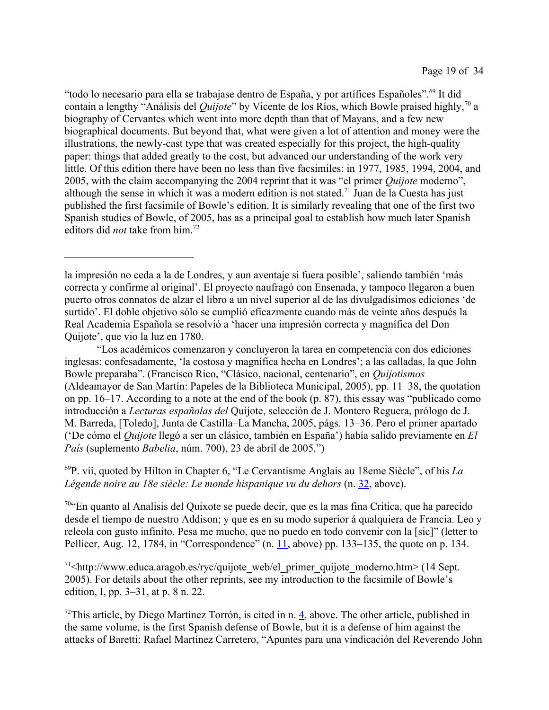"todo lo necesario para ella se trabajase dentro de España, y por artífices Españoles".<sup>69</sup> It did contain a lengthy "Análisis del *Quijote*" by Vicente de los Ríos, which Bowle praised highly,<sup>70</sup> a biography of Cervantes which went into more depth than that of Mayans, and a few new biographical documents. But beyond that, what were given a lot of attention and money were the illustrations, the newly-cast type that was created especially for this project, the high-quality paper: things that added greatly to the cost, but advanced our understanding of the work very little. Of this edition there have been no less than five facsimiles: in 1977, 1985, 1994, 2004, and 2005, with the claim accompanying the 2004 reprint that it was "el primer *Quijote* moderno", although the sense in which it was a modern edition is not stated.<sup>71</sup> Juan de la Cuesta has just published the first facsimile of Bowle's edition. It is similarly revealing that one of the first two Spanish studies of Bowle, of 2005, has as a principal goal to establish how much later Spanish editors did *not* take from him.72

<sup>69</sup>P. vii, quoted by Hilton in Chapter 6, "Le Cervantisme Anglais au 18eme Siècle", of his *La Légende noire au 18e siècle: Le monde hispanique vu du dehors* (n. 32, above).

<sup>70</sup>"En quanto al Analisis del Quixote se puede decir, que es la mas fina Critica, que ha parecido desde el tiempo de nuestro Addison; y que es en su modo superior á qualquiera de Francia. Leo y releola con gusto infinito. Pesa me mucho, que no puedo en todo convenir con la [sic]" (letter to Pellicer, Aug. 12, 1784, in "Correspondence" (n. 11, above) pp. 133–135, the quote on p. 134.

 $71$  http://www.educa.aragob.es/ryc/quijote web/el primer quijote moderno.htm> (14 Sept.) 2005). For details about the other reprints, see my introduction to the facsimile of Bowle's edition, I, pp. 3–31, at p. 8 n. 22.

 $72$ This article, by Diego Martínez Torrón, is cited in n. 4, above. The other article, published in the same volume, is the first Spanish defense of Bowle, but it is a defense of him against the attacks of Baretti: Rafael Martínez Carretero, "Apuntes para una vindicación del Reverendo John

la impresión no ceda a la de Londres, y aun aventaje si fuera posible', saliendo también 'más correcta y confirme al original'. El proyecto naufragó con Ensenada, y tampoco llegaron a buen puerto otros connatos de alzar el libro a un nivel superior al de las divulgadísimos ediciones 'de surtido'. El doble objetivo sólo se cumplió eficazmente cuando más de veinte años después la Real Academia Española se resolvió a 'hacer una impresión correcta y magnífica del Don Quijote', que vio la luz en 1780.

<sup>&</sup>quot;Los académicos comenzaron y concluyeron la tarea en competencia con dos ediciones inglesas: confesadamente, 'la costosa y magnífica hecha en Londres'; a las calladas, la que John Bowle preparaba". (Francisco Rico, "Clásico, nacional, centenario", en *Quijotismos* (Aldeamayor de San Martín: Papeles de la Biblioteca Municipal, 2005), pp. 11–38, the quotation on pp. 16–17. According to a note at the end of the book (p. 87), this essay was "publicado como introducción a *Lecturas españolas del* Quijote, selección de J. Montero Reguera, prólogo de J. M. Barreda, [Toledo], Junta de Castilla–La Mancha, 2005, págs. 13–36. Pero el primer apartado ('De cómo el *Quijote* llegó a ser un clásico, también en España') había salido previamente en *El País* (suplemento *Babelia*, núm. 700), 23 de abril de 2005.")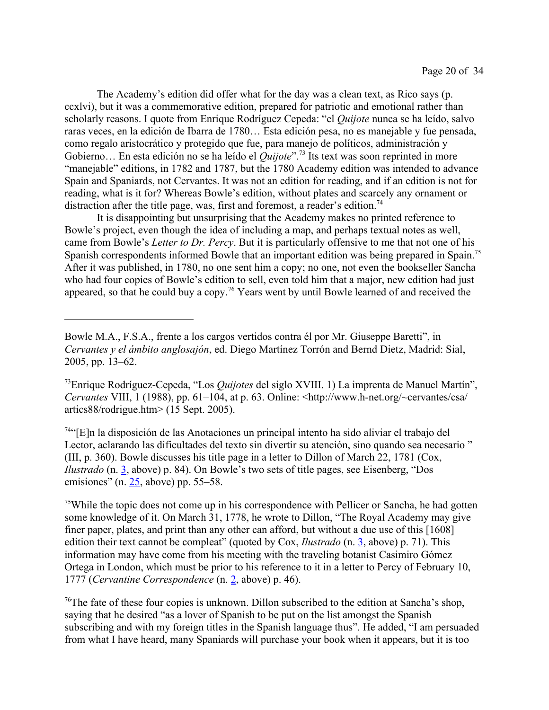The Academy's edition did offer what for the day was a clean text, as Rico says (p. ccxlvi), but it was a commemorative edition, prepared for patriotic and emotional rather than scholarly reasons. I quote from Enrique Rodríguez Cepeda: "el *Quijote* nunca se ha leído, salvo raras veces, en la edición de Ibarra de 1780… Esta edición pesa, no es manejable y fue pensada, como regalo aristocrático y protegido que fue, para manejo de políticos, administración y Gobierno… En esta edición no se ha leído el *Quijote*".<sup>73</sup> Its text was soon reprinted in more "manejable" editions, in 1782 and 1787, but the 1780 Academy edition was intended to advance Spain and Spaniards, not Cervantes. It was not an edition for reading, and if an edition is not for reading, what is it for? Whereas Bowle's edition, without plates and scarcely any ornament or distraction after the title page, was, first and foremost, a reader's edition.<sup>74</sup>

It is disappointing but unsurprising that the Academy makes no printed reference to Bowle's project, even though the idea of including a map, and perhaps textual notes as well, came from Bowle's *Letter to Dr. Percy*. But it is particularly offensive to me that not one of his Spanish correspondents informed Bowle that an important edition was being prepared in Spain.<sup>75</sup> After it was published, in 1780, no one sent him a copy; no one, not even the bookseller Sancha who had four copies of Bowle's edition to sell, even told him that a major, new edition had just appeared, so that he could buy a copy.<sup>76</sup> Years went by until Bowle learned of and received the

<sup>74</sup>"[E]n la disposición de las Anotaciones un principal intento ha sido aliviar el trabajo del Lector, aclarando las dificultades del texto sin divertir su atención, sino quando sea necesario " (III, p. 360). Bowle discusses his title page in a letter to Dillon of March 22, 1781 (Cox, *Ilustrado* (n. 3, above) p. 84). On Bowle's two sets of title pages, see Eisenberg, "Dos emisiones" (n.  $25$ , above) pp. 55–58.

<sup>75</sup>While the topic does not come up in his correspondence with Pellicer or Sancha, he had gotten some knowledge of it. On March 31, 1778, he wrote to Dillon, "The Royal Academy may give finer paper, plates, and print than any other can afford, but without a due use of this [1608] edition their text cannot be compleat" (quoted by Cox, *Ilustrado* (n. 3, above) p. 71). This information may have come from his meeting with the traveling botanist Casimiro Gómez Ortega in London, which must be prior to his reference to it in a letter to Percy of February 10, 1777 (*Cervantine Correspondence* (n. 2, above) p. 46).

<sup>76</sup>The fate of these four copies is unknown. Dillon subscribed to the edition at Sancha's shop, saying that he desired "as a lover of Spanish to be put on the list amongst the Spanish subscribing and with my foreign titles in the Spanish language thus". He added, "I am persuaded from what I have heard, many Spaniards will purchase your book when it appears, but it is too

Bowle M.A., F.S.A., frente a los cargos vertidos contra él por Mr. Giuseppe Baretti", in *Cervantes y el ámbito anglosajón*, ed. Diego Martínez Torrón and Bernd Dietz, Madrid: Sial, 2005, pp. 13–62.

<sup>73</sup>Enrique Rodríguez-Cepeda, "Los *Quijotes* del siglo XVIII. 1) La imprenta de Manuel Martín", *Cervantes* VIII, 1 (1988), pp. 61–104, at p. 63. Online: <http://www.h-net.org/~cervantes/csa/ artics88/rodrigue.htm> (15 Sept. 2005).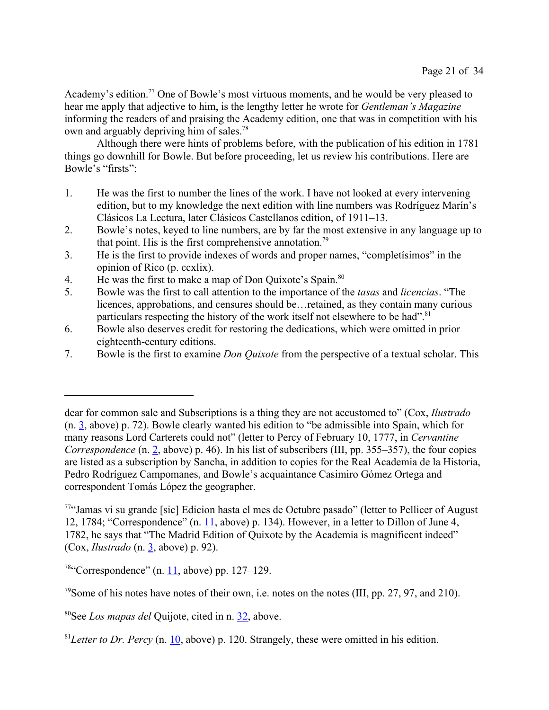Academy's edition.<sup>77</sup> One of Bowle's most virtuous moments, and he would be very pleased to hear me apply that adjective to him, is the lengthy letter he wrote for *Gentleman's Magazine* informing the readers of and praising the Academy edition, one that was in competition with his own and arguably depriving him of sales.<sup>78</sup>

Although there were hints of problems before, with the publication of his edition in 1781 things go downhill for Bowle. But before proceeding, let us review his contributions. Here are Bowle's "firsts":

- 1. He was the first to number the lines of the work. I have not looked at every intervening edition, but to my knowledge the next edition with line numbers was Rodríguez Marín's Clásicos La Lectura, later Clásicos Castellanos edition, of 1911–13.
- 2. Bowle's notes, keyed to line numbers, are by far the most extensive in any language up to that point. His is the first comprehensive annotation.<sup>79</sup>
- 3. He is the first to provide indexes of words and proper names, "completísimos" in the opinion of Rico (p. ccxlix).
- 4. He was the first to make a map of Don Quixote's Spain.<sup>80</sup>
- 5. Bowle was the first to call attention to the importance of the *tasas* and *licencias*. "The licences, approbations, and censures should be…retained, as they contain many curious particulars respecting the history of the work itself not elsewhere to be had".<sup>81</sup>
- 6. Bowle also deserves credit for restoring the dedications, which were omitted in prior eighteenth-century editions.
- 7. Bowle is the first to examine *Don Quixote* from the perspective of a textual scholar. This

dear for common sale and Subscriptions is a thing they are not accustomed to" (Cox, *Ilustrado* (n. 3, above) p. 72). Bowle clearly wanted his edition to "be admissible into Spain, which for many reasons Lord Carterets could not" (letter to Percy of February 10, 1777, in *Cervantine Correspondence* (n. 2, above) p. 46). In his list of subscribers (III, pp. 355–357), the four copies are listed as a subscription by Sancha, in addition to copies for the Real Academia de la Historia, Pedro Rodríguez Campomanes, and Bowle's acquaintance Casimiro Gómez Ortega and correspondent Tomás López the geographer.

<sup>77</sup>"Jamas vi su grande [sic] Edicion hasta el mes de Octubre pasado" (letter to Pellicer of August 12, 1784; "Correspondence" (n. 11, above) p. 134). However, in a letter to Dillon of June 4, 1782, he says that "The Madrid Edition of Quixote by the Academia is magnificent indeed" (Cox, *Ilustrado* (n. 3, above) p. 92).

 $78$ "Correspondence" (n. 11, above) pp. 127–129.

<sup>79</sup>Some of his notes have notes of their own, i.e. notes on the notes (III, pp. 27, 97, and 210).

<sup>80</sup>See *Los mapas del* Quijote, cited in n. 32, above.

<sup>81</sup>*Letter to Dr. Percy* (n. 10, above) p. 120. Strangely, these were omitted in his edition.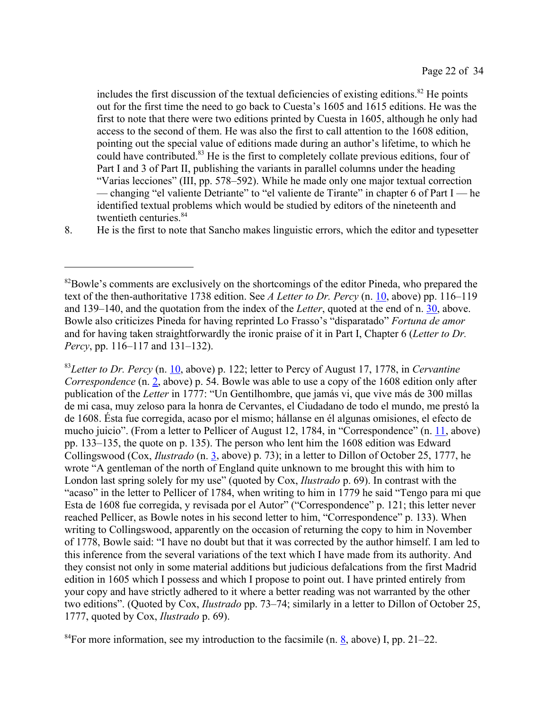includes the first discussion of the textual deficiencies of existing editions.<sup>82</sup> He points out for the first time the need to go back to Cuesta's 1605 and 1615 editions. He was the first to note that there were two editions printed by Cuesta in 1605, although he only had access to the second of them. He was also the first to call attention to the 1608 edition, pointing out the special value of editions made during an author's lifetime, to which he could have contributed.<sup>83</sup> He is the first to completely collate previous editions, four of Part I and 3 of Part II, publishing the variants in parallel columns under the heading "Varias lecciones" (III, pp. 578–592). While he made only one major textual correction — changing "el valiente Detriante" to "el valiente de Tirante" in chapter 6 of Part I — he identified textual problems which would be studied by editors of the nineteenth and twentieth centuries.<sup>84</sup>

8. He is the first to note that Sancho makes linguistic errors, which the editor and typesetter

<sup>83</sup>*Letter to Dr. Percy* (n. 10, above) p. 122; letter to Percy of August 17, 1778, in *Cervantine Correspondence* (n. 2, above) p. 54. Bowle was able to use a copy of the 1608 edition only after publication of the *Letter* in 1777: "Un Gentilhombre, que jamás vi, que vive más de 300 millas de mi casa, muy zeloso para la honra de Cervantes, el Ciudadano de todo el mundo, me prestó la de 1608. Ésta fue corregida, acaso por el mismo; hállanse en él algunas omisiones, el efecto de mucho juicio". (From a letter to Pellicer of August 12, 1784, in "Correspondence" (n. 11, above) pp. 133–135, the quote on p. 135). The person who lent him the 1608 edition was Edward Collingswood (Cox, *Ilustrado* (n. 3, above) p. 73); in a letter to Dillon of October 25, 1777, he wrote "A gentleman of the north of England quite unknown to me brought this with him to London last spring solely for my use" (quoted by Cox, *Ilustrado* p. 69). In contrast with the "acaso" in the letter to Pellicer of 1784, when writing to him in 1779 he said "Tengo para mi que Esta de 1608 fue corregida, y revisada por el Autor" ("Correspondence" p. 121; this letter never reached Pellicer, as Bowle notes in his second letter to him, "Correspondence" p. 133). When writing to Collingswood, apparently on the occasion of returning the copy to him in November of 1778, Bowle said: "I have no doubt but that it was corrected by the author himself. I am led to this inference from the several variations of the text which I have made from its authority. And they consist not only in some material additions but judicious defalcations from the first Madrid edition in 1605 which I possess and which I propose to point out. I have printed entirely from your copy and have strictly adhered to it where a better reading was not warranted by the other two editions". (Quoted by Cox, *Ilustrado* pp. 73–74; similarly in a letter to Dillon of October 25, 1777, quoted by Cox, *Ilustrado* p. 69).

 $84$ For more information, see my introduction to the facsimile (n. 8, above) I, pp. 21–22.

<sup>&</sup>lt;sup>82</sup>Bowle's comments are exclusively on the shortcomings of the editor Pineda, who prepared the text of the then-authoritative 1738 edition. See *A Letter to Dr. Percy* (n. 10, above) pp. 116–119 and 139–140, and the quotation from the index of the *Letter*, quoted at the end of n. 30, above. Bowle also criticizes Pineda for having reprinted Lo Frasso's "disparatado" *Fortuna de amor* and for having taken straightforwardly the ironic praise of it in Part I, Chapter 6 (*Letter to Dr. Percy*, pp. 116–117 and 131–132).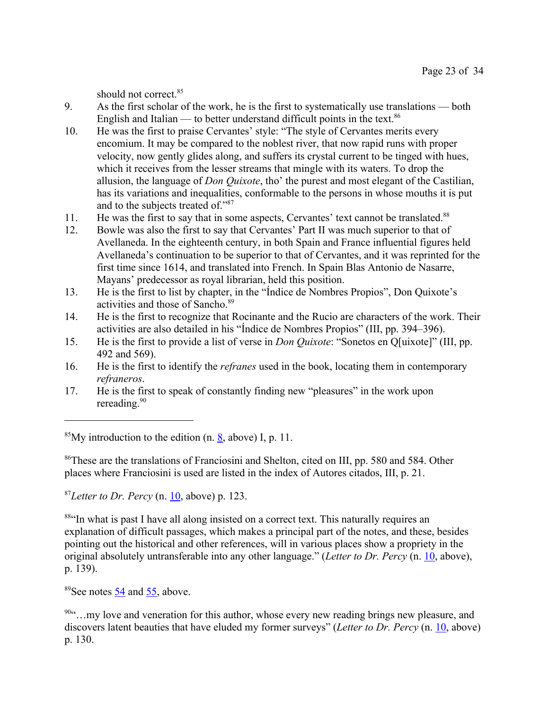should not correct.<sup>85</sup>

- 9. As the first scholar of the work, he is the first to systematically use translations both English and Italian — to better understand difficult points in the text.<sup>86</sup>
- 10. He was the first to praise Cervantes' style: "The style of Cervantes merits every encomium. It may be compared to the noblest river, that now rapid runs with proper velocity, now gently glides along, and suffers its crystal current to be tinged with hues, which it receives from the lesser streams that mingle with its waters. To drop the allusion, the language of *Don Quixote*, tho' the purest and most elegant of the Castilian, has its variations and inequalities, conformable to the persons in whose mouths it is put and to the subjects treated of."<sup>87</sup>
- 11. He was the first to say that in some aspects, Cervantes' text cannot be translated.<sup>88</sup>
- 12. Bowle was also the first to say that Cervantes' Part II was much superior to that of Avellaneda. In the eighteenth century, in both Spain and France influential figures held Avellaneda's continuation to be superior to that of Cervantes, and it was reprinted for the first time since 1614, and translated into French. In Spain Blas Antonio de Nasarre, Mayans' predecessor as royal librarian, held this position.
- 13. He is the first to list by chapter, in the "Índice de Nombres Propios", Don Quixote's activities and those of Sancho.<sup>89</sup>
- 14. He is the first to recognize that Rocinante and the Rucio are characters of the work. Their activities are also detailed in his "Índice de Nombres Propios" (III, pp. 394–396).
- 15. He is the first to provide a list of verse in *Don Quixote*: "Sonetos en Q[uixote]" (III, pp. 492 and 569).
- 16. He is the first to identify the *refranes* used in the book, locating them in contemporary *refraneros*.
- 17. He is the first to speak of constantly finding new "pleasures" in the work upon rereading.<sup>90</sup>

<sup>85</sup>My introduction to the edition  $(n, 8, above)$  I, p. 11.

<sup>86</sup>These are the translations of Franciosini and Shelton, cited on III, pp. 580 and 584. Other places where Franciosini is used are listed in the index of Autores citados, III, p. 21.

<sup>87</sup>*Letter to Dr. Percy* (n. 10, above) p. 123.

<sup>884</sup>In what is past I have all along insisted on a correct text. This naturally requires an explanation of difficult passages, which makes a principal part of the notes, and these, besides pointing out the historical and other references, will in various places show a propriety in the original absolutely untransferable into any other language." (*Letter to Dr. Percy* (n. 10, above), p. 139).

<sup>89</sup>See notes 54 and 55, above.

<sup>90&</sup>quot;…my love and veneration for this author, whose every new reading brings new pleasure, and discovers latent beauties that have eluded my former surveys" (*Letter to Dr. Percy* (n. 10, above) p. 130.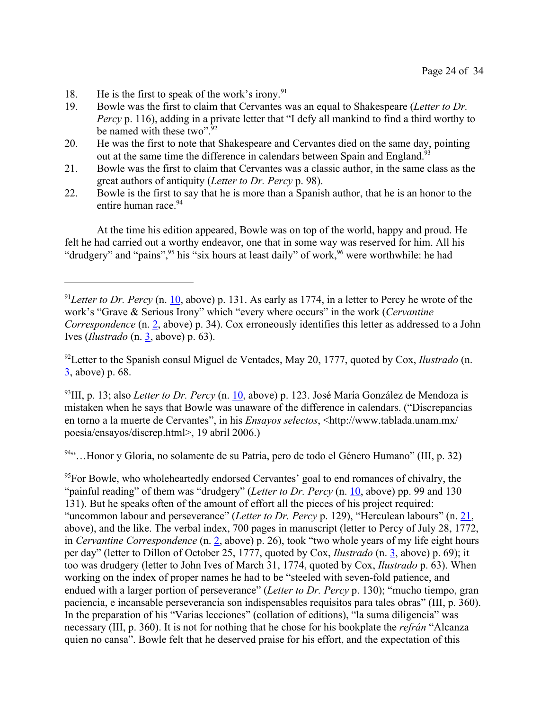- 18. He is the first to speak of the work's irony.<sup>91</sup>
- 19. Bowle was the first to claim that Cervantes was an equal to Shakespeare (*Letter to Dr. Percy* p. 116), adding in a private letter that "I defy all mankind to find a third worthy to be named with these two".<sup>92</sup>
- 20. He was the first to note that Shakespeare and Cervantes died on the same day, pointing out at the same time the difference in calendars between Spain and England.<sup>93</sup>
- 21. Bowle was the first to claim that Cervantes was a classic author, in the same class as the great authors of antiquity (*Letter to Dr. Percy* p. 98).
- 22. Bowle is the first to say that he is more than a Spanish author, that he is an honor to the entire human race 94

At the time his edition appeared, Bowle was on top of the world, happy and proud. He felt he had carried out a worthy endeavor, one that in some way was reserved for him. All his "drudgery" and "pains",<sup>95</sup> his "six hours at least daily" of work,<sup>96</sup> were worthwhile: he had

<sup>92</sup>Letter to the Spanish consul Miguel de Ventades, May 20, 1777, quoted by Cox, *Ilustrado* (n. 3, above) p. 68.

<sup>93</sup>III, p. 13; also *Letter to Dr. Percy* (n. 10, above) p. 123. José María González de Mendoza is mistaken when he says that Bowle was unaware of the difference in calendars. ("Discrepancias en torno a la muerte de Cervantes", in his *Ensayos selectos*, <http://www.tablada.unam.mx/ poesia/ensayos/discrep.html>, 19 abril 2006.)

<sup>94</sup>"…Honor y Gloria, no solamente de su Patria, pero de todo el Género Humano" (III, p. 32)

<sup>95</sup>For Bowle, who wholeheartedly endorsed Cervantes' goal to end romances of chivalry, the "painful reading" of them was "drudgery" (*Letter to Dr. Percy* (n. 10, above) pp. 99 and 130– 131). But he speaks often of the amount of effort all the pieces of his project required: "uncommon labour and perseverance" (*Letter to Dr. Percy* p. 129), "Herculean labours" (n. 21, above), and the like. The verbal index, 700 pages in manuscript (letter to Percy of July 28, 1772, in *Cervantine Correspondence* (n. 2, above) p. 26), took "two whole years of my life eight hours per day" (letter to Dillon of October 25, 1777, quoted by Cox, *Ilustrado* (n. 3, above) p. 69); it too was drudgery (letter to John Ives of March 31, 1774, quoted by Cox, *Ilustrado* p. 63). When working on the index of proper names he had to be "steeled with seven-fold patience, and endued with a larger portion of perseverance" (*Letter to Dr. Percy* p. 130); "mucho tiempo, gran paciencia, e incansable perseverancia son indispensables requisitos para tales obras" (III, p. 360). In the preparation of his "Varias lecciones" (collation of editions), "la suma diligencia" was necessary (III, p. 360). It is not for nothing that he chose for his bookplate the *refrán* "Alcanza quien no cansa". Bowle felt that he deserved praise for his effort, and the expectation of this

<sup>&</sup>lt;sup>91</sup>Letter to Dr. Percy (n. 10, above) p. 131. As early as 1774, in a letter to Percy he wrote of the work's "Grave & Serious Irony" which "every where occurs" in the work (*Cervantine Correspondence* (n. 2, above) p. 34). Cox erroneously identifies this letter as addressed to a John Ives (*Ilustrado* (n. 3, above) p. 63).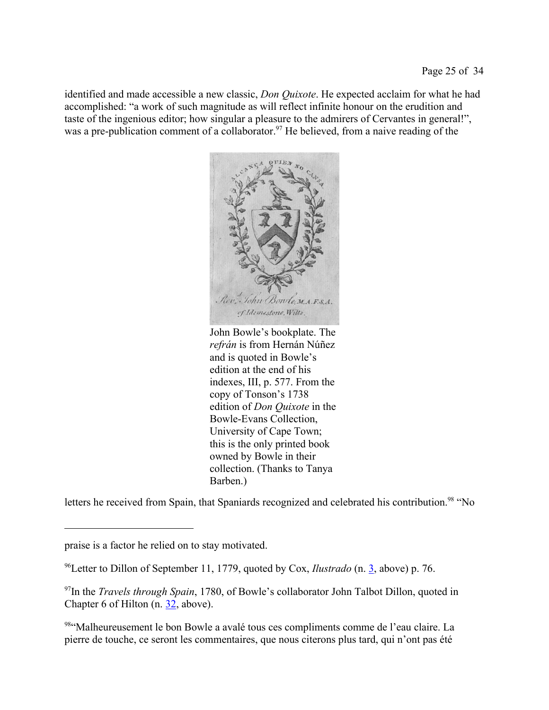identified and made accessible a new classic, *Don Quixote*. He expected acclaim for what he had accomplished: "a work of such magnitude as will reflect infinite honour on the erudition and taste of the ingenious editor; how singular a pleasure to the admirers of Cervantes in general!", was a pre-publication comment of a collaborator.<sup>97</sup> He believed, from a naive reading of the



John Bowle's bookplate. The *refrán* is from Hernán Núñez and is quoted in Bowle's edition at the end of his indexes, III, p. 577. From the copy of Tonson's 1738 edition of *Don Quixote* in the Bowle-Evans Collection, University of Cape Town; this is the only printed book owned by Bowle in their collection. (Thanks to Tanya Barben.)

letters he received from Spain, that Spaniards recognized and celebrated his contribution.<sup>98</sup> "No

praise is a factor he relied on to stay motivated.

<sup>96</sup>Letter to Dillon of September 11, 1779, quoted by Cox, *Ilustrado* (n. 3, above) p. 76.

<sup>&</sup>lt;sup>97</sup>In the *Travels through Spain*, 1780, of Bowle's collaborator John Talbot Dillon, quoted in Chapter 6 of Hilton (n.  $32$ , above).

<sup>98&</sup>quot; Malheureusement le bon Bowle a avalé tous ces compliments comme de l'eau claire. La pierre de touche, ce seront les commentaires, que nous citerons plus tard, qui n'ont pas été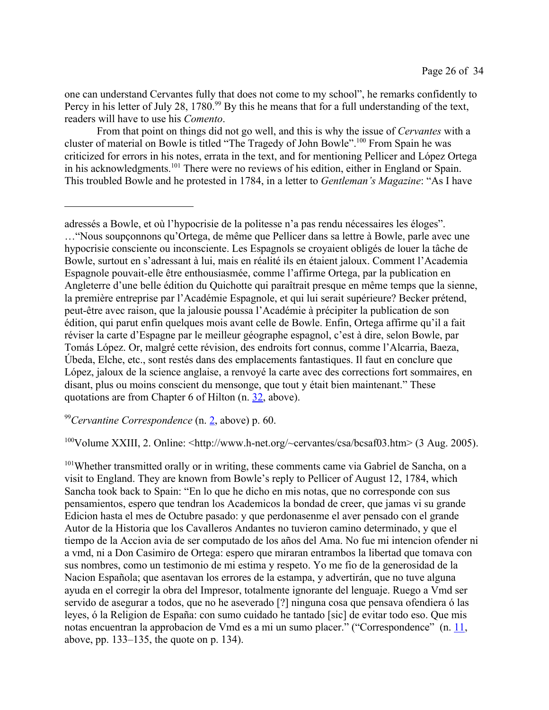one can understand Cervantes fully that does not come to my school", he remarks confidently to Percy in his letter of July 28, 1780.<sup>99</sup> By this he means that for a full understanding of the text, readers will have to use his *Comento*.

From that point on things did not go well, and this is why the issue of *Cervantes* with a cluster of material on Bowle is titled "The Tragedy of John Bowle".<sup>100</sup> From Spain he was criticized for errors in his notes, errata in the text, and for mentioning Pellicer and López Ortega in his acknowledgments.<sup>101</sup> There were no reviews of his edition, either in England or Spain. This troubled Bowle and he protested in 1784, in a letter to *Gentleman's Magazine*: "As I have

## <sup>99</sup>*Cervantine Correspondence* (n. 2, above) p. 60.

 $^{100}$ Volume XXIII, 2. Online:  $\langle$ http://www.h-net.org/ $\sim$ cervantes/csa/bcsaf03.htm> (3 Aug. 2005).

<sup>101</sup>Whether transmitted orally or in writing, these comments came via Gabriel de Sancha, on a visit to England. They are known from Bowle's reply to Pellicer of August 12, 1784, which Sancha took back to Spain: "En lo que he dicho en mis notas, que no corresponde con sus pensamientos, espero que tendran los Academicos la bondad de creer, que jamas vi su grande Edicion hasta el mes de Octubre pasado: y que perdonasenme el aver pensado con el grande Autor de la Historia que los Cavalleros Andantes no tuvieron camino determinado, y que el tiempo de la Accion avia de ser computado de los años del Ama. No fue mi intencion ofender ni a vmd, ni a Don Casimiro de Ortega: espero que miraran entrambos la libertad que tomava con sus nombres, como un testimonio de mi estima y respeto. Yo me fio de la generosidad de la Nacion Española; que asentavan los errores de la estampa, y advertirán, que no tuve alguna ayuda en el corregir la obra del Impresor, totalmente ignorante del lenguaje. Ruego a Vmd ser servido de asegurar a todos, que no he aseverado [?] ninguna cosa que pensava ofendiera ó las leyes, ó la Religion de España: con sumo cuidado he tantado [sic] de evitar todo eso. Que mis notas encuentran la approbacion de Vmd es a mi un sumo placer." ("Correspondence" (n. 11, above, pp. 133–135, the quote on p. 134).

adressés a Bowle, et où l'hypocrisie de la politesse n'a pas rendu nécessaires les éloges". …"Nous soupçonnons qu'Ortega, de même que Pellicer dans sa lettre à Bowle, parle avec une hypocrisie consciente ou inconsciente. Les Espagnols se croyaient obligés de louer la tâche de Bowle, surtout en s'adressant à lui, mais en réalité ils en étaient jaloux. Comment l'Academia Espagnole pouvait-elle être enthousiasmée, comme l'affirme Ortega, par la publication en Angleterre d'une belle édition du Quichotte qui paraîtrait presque en même temps que la sienne, la première entreprise par l'Académie Espagnole, et qui lui serait supérieure? Becker prétend, peut-être avec raison, que la jalousie poussa l'Académie à précipiter la publication de son édition, qui parut enfin quelques mois avant celle de Bowle. Enfin, Ortega affirme qu'il a fait réviser la carte d'Espagne par le meilleur géographe espagnol, c'est à dire, selon Bowle, par Tomás López. Or, malgré cette révision, des endroits fort connus, comme l'Alcarria, Baeza, Úbeda, Elche, etc., sont restés dans des emplacements fantastiques. Il faut en conclure que López, jaloux de la science anglaise, a renvoyé la carte avec des corrections fort sommaires, en disant, plus ou moins conscient du mensonge, que tout y était bien maintenant." These quotations are from Chapter 6 of Hilton (n. 32, above).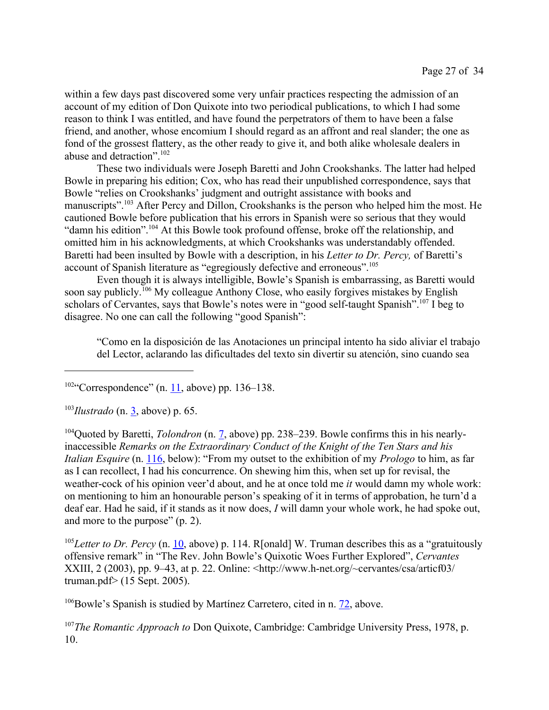within a few days past discovered some very unfair practices respecting the admission of an account of my edition of Don Quixote into two periodical publications, to which I had some reason to think I was entitled, and have found the perpetrators of them to have been a false friend, and another, whose encomium I should regard as an affront and real slander; the one as fond of the grossest flattery, as the other ready to give it, and both alike wholesale dealers in abuse and detraction".<sup>102</sup>

These two individuals were Joseph Baretti and John Crookshanks. The latter had helped Bowle in preparing his edition; Cox, who has read their unpublished correspondence, says that Bowle "relies on Crookshanks' judgment and outright assistance with books and manuscripts".<sup>103</sup> After Percy and Dillon, Crookshanks is the person who helped him the most. He cautioned Bowle before publication that his errors in Spanish were so serious that they would "damn his edition".<sup>104</sup> At this Bowle took profound offense, broke off the relationship, and omitted him in his acknowledgments, at which Crookshanks was understandably offended. Baretti had been insulted by Bowle with a description, in his *Letter to Dr. Percy,* of Baretti's account of Spanish literature as "egregiously defective and erroneous".<sup>105</sup>

Even though it is always intelligible, Bowle's Spanish is embarrassing, as Baretti would soon say publicly.<sup>106</sup> My colleague Anthony Close, who easily forgives mistakes by English scholars of Cervantes, says that Bowle's notes were in "good self-taught Spanish".<sup>107</sup> I beg to disagree. No one can call the following "good Spanish":

"Como en la disposición de las Anotaciones un principal intento ha sido aliviar el trabajo del Lector, aclarando las dificultades del texto sin divertir su atención, sino cuando sea

 $102\degree$  Correspondence" (n. 11, above) pp. 136–138.

<sup>103</sup>*Ilustrado* (n. 3, above) p. 65.

104Quoted by Baretti, *Tolondron* (n. 7, above) pp. 238–239. Bowle confirms this in his nearlyinaccessible *Remarks on the Extraordinary Conduct of the Knight of the Ten Stars and his Italian Esquire* (n. 116, below): "From my outset to the exhibition of my *Prologo* to him, as far as I can recollect, I had his concurrence. On shewing him this, when set up for revisal, the weather-cock of his opinion veer'd about, and he at once told me *it* would damn my whole work: on mentioning to him an honourable person's speaking of it in terms of approbation, he turn'd a deaf ear. Had he said, if it stands as it now does, *I* will damn your whole work, he had spoke out, and more to the purpose" (p. 2).

<sup>105</sup>Letter to Dr. Percy (n. 10, above) p. 114. R[onald] W. Truman describes this as a "gratuitously offensive remark" in "The Rev. John Bowle's Quixotic Woes Further Explored", *Cervantes* XXIII, 2 (2003), pp. 9–43, at p. 22. Online: <http://www.h-net.org/~cervantes/csa/articf03/ truman.pdf> (15 Sept. 2005).

<sup>106</sup>Bowle's Spanish is studied by Martínez Carretero, cited in n. 72, above.

<sup>107</sup>*The Romantic Approach to* Don Quixote, Cambridge: Cambridge University Press, 1978, p. 10.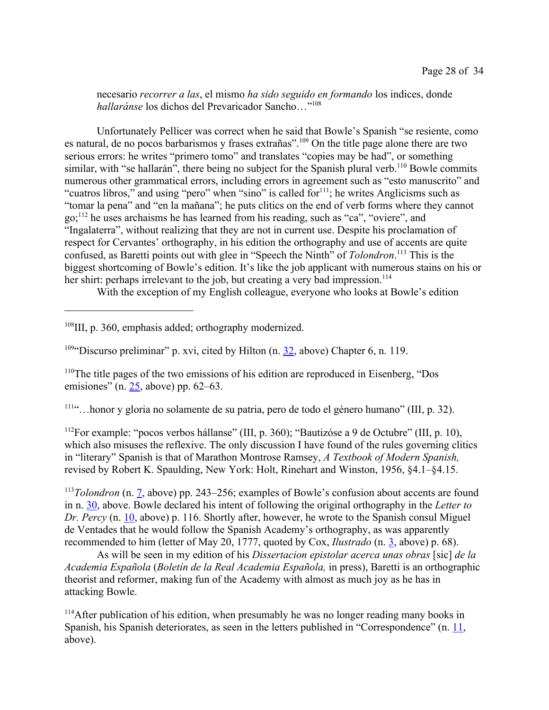necesario *recorrer a las*, el mismo *ha sido seguido en formando* los indices, donde *hallaránse* los dichos del Prevaricador Sancho…"<sup>108</sup>

Unfortunately Pellicer was correct when he said that Bowle's Spanish "se resiente, como es natural, de no pocos barbarismos y frases extrañas".<sup>109</sup> On the title page alone there are two serious errors: he writes "primero tomo" and translates "copies may be had", or something similar, with "se hallarán", there being no subject for the Spanish plural verb.<sup>110</sup> Bowle commits numerous other grammatical errors, including errors in agreement such as "esto manuscrito" and "cuatros libros," and using "pero" when "sino" is called for  $n_{11}$ ; he writes Anglicisms such as "tomar la pena" and "en la mañana"; he puts clitics on the end of verb forms where they cannot go;<sup>112</sup> he uses archaisms he has learned from his reading, such as "ca", "oviere", and "Ingalaterra", without realizing that they are not in current use. Despite his proclamation of respect for Cervantes' orthography, in his edition the orthography and use of accents are quite confused, as Baretti points out with glee in "Speech the Ninth" of *Tolondron*. <sup>113</sup> This is the biggest shortcoming of Bowle's edition. It's like the job applicant with numerous stains on his or her shirt: perhaps irrelevant to the job, but creating a very bad impression.<sup>114</sup>

With the exception of my English colleague, everyone who looks at Bowle's edition

<sup>108</sup>III, p. 360, emphasis added; orthography modernized.

<sup>109"</sup>Discurso preliminar" p. xvi, cited by Hilton (n.  $32$ , above) Chapter 6, n. 119.

<sup>110</sup>The title pages of the two emissions of his edition are reproduced in Eisenberg, "Dos emisiones" (n. 25, above) pp. 62–63.

<sup>111</sup>"…honor y gloria no solamente de su patria, pero de todo el género humano" (III, p. 32).

<sup>112</sup>For example: "pocos verbos hállanse" (III, p. 360); "Bautizóse a 9 de Octubre" (III, p. 10), which also misuses the reflexive. The only discussion I have found of the rules governing clitics in "literary" Spanish is that of Marathon Montrose Ramsey, *A Textbook of Modern Spanish,* revised by Robert K. Spaulding, New York: Holt, Rinehart and Winston, 1956, §4.1–§4.15.

<sup>113</sup>*Tolondron* (n. 7, above) pp. 243–256; examples of Bowle's confusion about accents are found in n. 30, above. Bowle declared his intent of following the original orthography in the *Letter to Dr. Percy* (n. 10, above) p. 116. Shortly after, however, he wrote to the Spanish consul Miguel de Ventades that he would follow the Spanish Academy's orthography, as was apparently recommended to him (letter of May 20, 1777, quoted by Cox, *Ilustrado* (n. 3, above) p. 68).

As will be seen in my edition of his *Dissertacion epistolar acerca unas obras* [sic] *de la Academia Española* (*Boletín de la Real Academia Española,* in press), Baretti is an orthographic theorist and reformer, making fun of the Academy with almost as much joy as he has in attacking Bowle.

<sup>114</sup>After publication of his edition, when presumably he was no longer reading many books in Spanish, his Spanish deteriorates, as seen in the letters published in "Correspondence" (n. 11, above).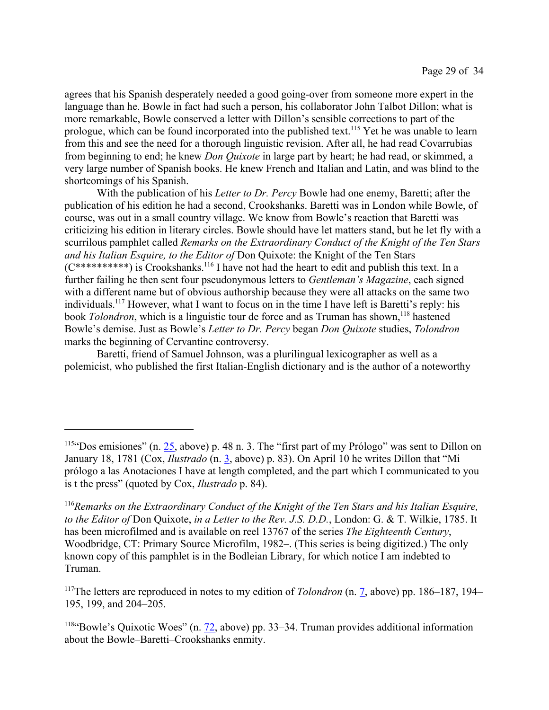agrees that his Spanish desperately needed a good going-over from someone more expert in the language than he. Bowle in fact had such a person, his collaborator John Talbot Dillon; what is more remarkable, Bowle conserved a letter with Dillon's sensible corrections to part of the prologue, which can be found incorporated into the published text.<sup>115</sup> Yet he was unable to learn from this and see the need for a thorough linguistic revision. After all, he had read Covarrubias from beginning to end; he knew *Don Quixote* in large part by heart; he had read, or skimmed, a very large number of Spanish books. He knew French and Italian and Latin, and was blind to the shortcomings of his Spanish.

With the publication of his *Letter to Dr. Percy* Bowle had one enemy, Baretti; after the publication of his edition he had a second, Crookshanks. Baretti was in London while Bowle, of course, was out in a small country village. We know from Bowle's reaction that Baretti was criticizing his edition in literary circles. Bowle should have let matters stand, but he let fly with a scurrilous pamphlet called *Remarks on the Extraordinary Conduct of the Knight of the Ten Stars and his Italian Esquire, to the Editor of* Don Quixote: the Knight of the Ten Stars  $(C^{********})$  is Crookshanks.<sup>116</sup> I have not had the heart to edit and publish this text. In a further failing he then sent four pseudonymous letters to *Gentleman's Magazine*, each signed with a different name but of obvious authorship because they were all attacks on the same two individuals.<sup>117</sup> However, what I want to focus on in the time I have left is Baretti's reply: his book *Tolondron*, which is a linguistic tour de force and as Truman has shown,<sup>118</sup> hastened Bowle's demise. Just as Bowle's *Letter to Dr. Percy* began *Don Quixote* studies, *Tolondron* marks the beginning of Cervantine controversy.

Baretti, friend of Samuel Johnson, was a plurilingual lexicographer as well as a polemicist, who published the first Italian-English dictionary and is the author of a noteworthy

<sup>&</sup>lt;sup>115"</sup>Dos emisiones" (n. 25, above) p. 48 n. 3. The "first part of my Prólogo" was sent to Dillon on January 18, 1781 (Cox, *Ilustrado* (n. 3, above) p. 83). On April 10 he writes Dillon that "Mi prólogo a las Anotaciones I have at length completed, and the part which I communicated to you is t the press" (quoted by Cox, *Ilustrado* p. 84).

<sup>116</sup>*Remarks on the Extraordinary Conduct of the Knight of the Ten Stars and his Italian Esquire, to the Editor of* Don Quixote, *in a Letter to the Rev. J.S. D.D.*, London: G. & T. Wilkie, 1785. It has been microfilmed and is available on reel 13767 of the series *The Eighteenth Century*, Woodbridge, CT: Primary Source Microfilm, 1982–. (This series is being digitized.) The only known copy of this pamphlet is in the Bodleian Library, for which notice I am indebted to Truman.

<sup>117</sup>The letters are reproduced in notes to my edition of *Tolondron* (n. 7, above) pp. 186–187, 194– 195, 199, and 204–205.

<sup>&</sup>lt;sup>118"</sup>Bowle's Quixotic Woes" (n. 72, above) pp. 33–34. Truman provides additional information about the Bowle–Baretti–Crookshanks enmity.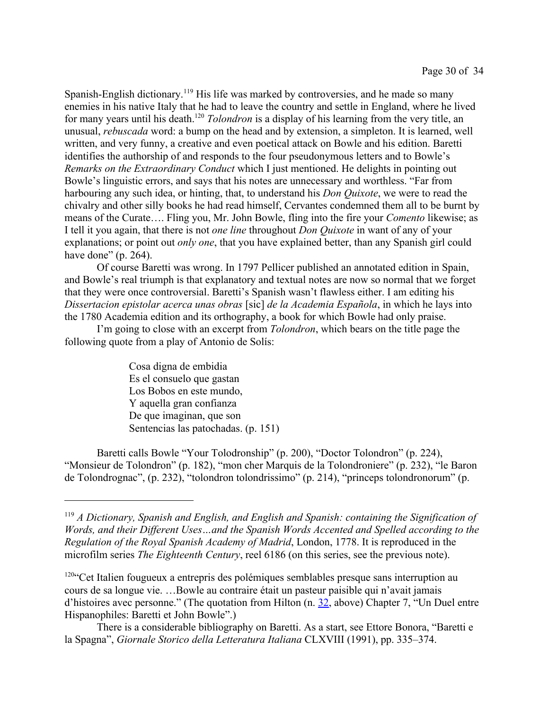Spanish-English dictionary.<sup>119</sup> His life was marked by controversies, and he made so many enemies in his native Italy that he had to leave the country and settle in England, where he lived for many years until his death.<sup>120</sup> *Tolondron* is a display of his learning from the very title, an unusual, *rebuscada* word: a bump on the head and by extension, a simpleton. It is learned, well written, and very funny, a creative and even poetical attack on Bowle and his edition. Baretti identifies the authorship of and responds to the four pseudonymous letters and to Bowle's *Remarks on the Extraordinary Conduct* which I just mentioned. He delights in pointing out Bowle's linguistic errors, and says that his notes are unnecessary and worthless. "Far from harbouring any such idea, or hinting, that, to understand his *Don Quixote*, we were to read the chivalry and other silly books he had read himself, Cervantes condemned them all to be burnt by means of the Curate…. Fling you, Mr. John Bowle, fling into the fire your *Comento* likewise; as I tell it you again, that there is not *one line* throughout *Don Quixote* in want of any of your explanations; or point out *only one*, that you have explained better, than any Spanish girl could have done" (p. 264).

Of course Baretti was wrong. In 1797 Pellicer published an annotated edition in Spain, and Bowle's real triumph is that explanatory and textual notes are now so normal that we forget that they were once controversial. Baretti's Spanish wasn't flawless either. I am editing his *Dissertacion epistolar acerca unas obras* [sic] *de la Academia Española*, in which he lays into the 1780 Academia edition and its orthography, a book for which Bowle had only praise.

I'm going to close with an excerpt from *Tolondron*, which bears on the title page the following quote from a play of Antonio de Solís:

> Cosa digna de embidia Es el consuelo que gastan Los Bobos en este mundo, Y aquella gran confianza De que imaginan, que son Sentencias las patochadas. (p. 151)

Baretti calls Bowle "Your Tolodronship" (p. 200), "Doctor Tolondron" (p. 224), "Monsieur de Tolondron" (p. 182), "mon cher Marquis de la Tolondroniere" (p. 232), "le Baron de Tolondrognac", (p. 232), "tolondron tolondrissimo" (p. 214), "princeps tolondronorum" (p.

<sup>119</sup> *A Dictionary, Spanish and English, and English and Spanish: containing the Signification of Words, and their Different Uses…and the Spanish Words Accented and Spelled according to the Regulation of the Royal Spanish Academy of Madrid*, London, 1778. It is reproduced in the microfilm series *The Eighteenth Century*, reel 6186 (on this series, see the previous note).

<sup>&</sup>lt;sup>120"</sup>Cet Italien fougueux a entrepris des polémiques semblables presque sans interruption au cours de sa longue vie. …Bowle au contraire était un pasteur paisible qui n'avait jamais d'histoires avec personne." (The quotation from Hilton (n. 32, above) Chapter 7, "Un Duel entre Hispanophiles: Baretti et John Bowle".)

There is a considerable bibliography on Baretti. As a start, see Ettore Bonora, "Baretti e la Spagna", *Giornale Storico della Letteratura Italiana* CLXVIII (1991), pp. 335–374.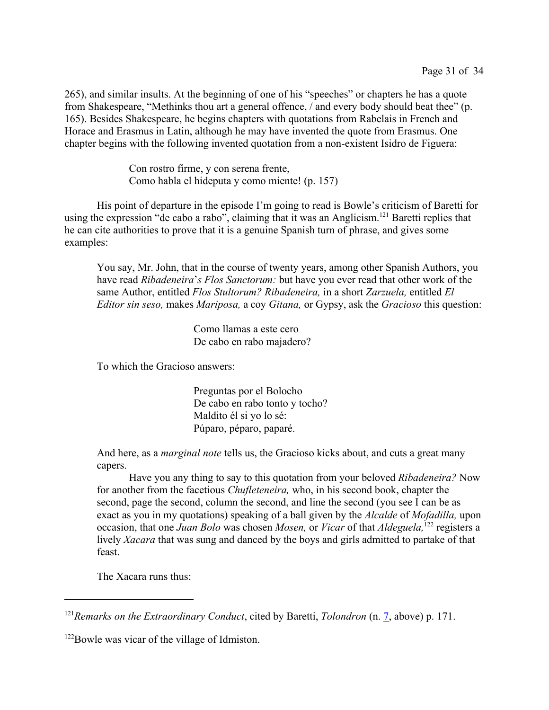265), and similar insults. At the beginning of one of his "speeches" or chapters he has a quote from Shakespeare, "Methinks thou art a general offence, / and every body should beat thee" (p. 165). Besides Shakespeare, he begins chapters with quotations from Rabelais in French and Horace and Erasmus in Latin, although he may have invented the quote from Erasmus. One chapter begins with the following invented quotation from a non-existent Isidro de Figuera:

> Con rostro firme, y con serena frente, Como habla el hideputa y como miente! (p. 157)

His point of departure in the episode I'm going to read is Bowle's criticism of Baretti for using the expression "de cabo a rabo", claiming that it was an Anglicism.<sup>121</sup> Baretti replies that he can cite authorities to prove that it is a genuine Spanish turn of phrase, and gives some examples:

You say, Mr. John, that in the course of twenty years, among other Spanish Authors, you have read *Ribadeneira*'*s Flos Sanctorum:* but have you ever read that other work of the same Author, entitled *Flos Stultorum? Ribadeneira,* in a short *Zarzuela,* entitled *El Editor sin seso,* makes *Mariposa,* a coy *Gitana,* or Gypsy, ask the *Gracioso* this question:

> Como llamas a este cero De cabo en rabo majadero?

To which the Gracioso answers:

Preguntas por el Bolocho De cabo en rabo tonto y tocho? Maldito él si yo lo sé: Púparo, péparo, paparé.

And here, as a *marginal note* tells us, the Gracioso kicks about, and cuts a great many capers.

Have you any thing to say to this quotation from your beloved *Ribadeneira?* Now for another from the facetious *Chufleteneira,* who, in his second book, chapter the second, page the second, column the second, and line the second (you see I can be as exact as you in my quotations) speaking of a ball given by the *Alcalde* of *Mofadilla,* upon occasion, that one *Juan Bolo* was chosen *Mosen,* or *Vicar* of that *Aldeguela,*<sup>122</sup> registers a lively *Xacara* that was sung and danced by the boys and girls admitted to partake of that feast.

The Xacara runs thus:

<sup>121</sup>*Remarks on the Extraordinary Conduct*, cited by Baretti, *Tolondron* (n. 7, above) p. 171.

<sup>&</sup>lt;sup>122</sup>Bowle was vicar of the village of Idmiston.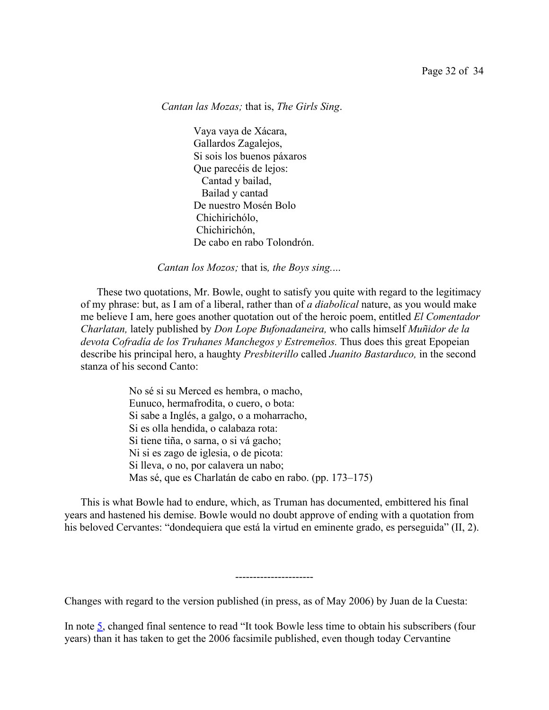*Cantan las Mozas;* that is, *The Girls Sing*.

Vaya vaya de Xácara, Gallardos Zagalejos, Si sois los buenos páxaros Que parecéis de lejos: Cantad y bailad, Bailad y cantad De nuestro Mosén Bolo Chichirichólo, Chichirichón, De cabo en rabo Tolondrón.

*Cantan los Mozos;* that is*, the Boys sing.*...

These two quotations, Mr. Bowle, ought to satisfy you quite with regard to the legitimacy of my phrase: but, as I am of a liberal, rather than of *a diabolical* nature, as you would make me believe I am, here goes another quotation out of the heroic poem, entitled *El Comentador Charlatan,* lately published by *Don Lope Bufonadaneira,* who calls himself *Muñidor de la* devota Cofradía de los Truhanes Manchegos y Estremeños. Thus does this great Epopeian describe his principal hero, a haughty *Presbiterillo* called *Juanito Bastarduco,* in the second stanza of his second Canto:

> No sé si su Merced es hembra, o macho, Eunuco, hermafrodita, o cuero, o bota: Si sabe a Inglés, a galgo, o a moharracho, Si es olla hendida, o calabaza rota: Si tiene tiña, o sarna, o si vá gacho; Ni si es zago de iglesia, o de picota: Si lleva, o no, por calavera un nabo; Mas sé, que es Charlatán de cabo en rabo. (pp. 173–175)

This is what Bowle had to endure, which, as Truman has documented, embittered his final years and hastened his demise. Bowle would no doubt approve of ending with a quotation from his beloved Cervantes: "dondequiera que está la virtud en eminente grado, es perseguida" (II, 2).

----------------------

Changes with regard to the version published (in press, as of May 2006) by Juan de la Cuesta:

In note 5, changed final sentence to read "It took Bowle less time to obtain his subscribers (four years) than it has taken to get the 2006 facsimile published, even though today Cervantine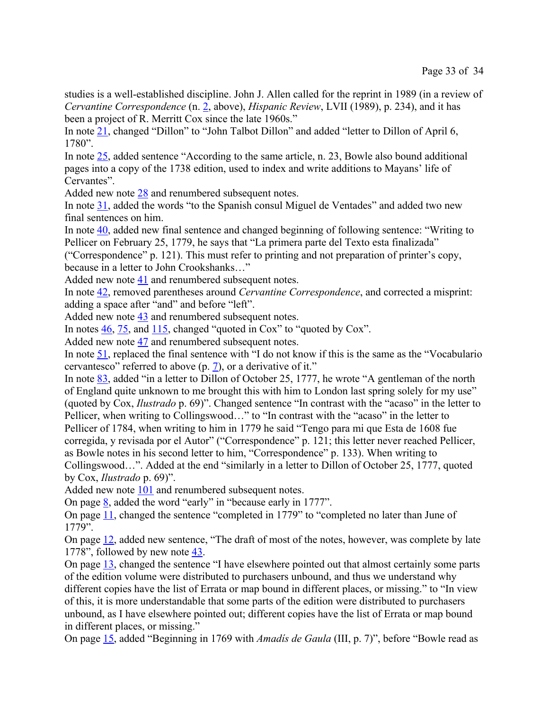studies is a well-established discipline. John J. Allen called for the reprint in 1989 (in a review of *Cervantine Correspondence* (n. 2, above), *Hispanic Review*, LVII (1989), p. 234), and it has been a project of R. Merritt Cox since the late 1960s."

In note 21, changed "Dillon" to "John Talbot Dillon" and added "letter to Dillon of April 6, 1780".

In note 25, added sentence "According to the same article, n. 23, Bowle also bound additional pages into a copy of the 1738 edition, used to index and write additions to Mayans' life of Cervantes".

Added new note 28 and renumbered subsequent notes.

In note 31, added the words "to the Spanish consul Miguel de Ventades" and added two new final sentences on him.

In note 40, added new final sentence and changed beginning of following sentence: "Writing to Pellicer on February 25, 1779, he says that "La primera parte del Texto esta finalizada"

("Correspondence" p. 121). This must refer to printing and not preparation of printer's copy, because in a letter to John Crookshanks…"

Added new note 41 and renumbered subsequent notes.

In note 42, removed parentheses around *Cervantine Correspondence*, and corrected a misprint: adding a space after "and" and before "left".

Added new note 43 and renumbered subsequent notes.

In notes  $\frac{46}{75}$ , and  $\frac{115}{75}$ , changed "quoted in Cox" to "quoted by Cox".

Added new note 47 and renumbered subsequent notes.

In note 51, replaced the final sentence with "I do not know if this is the same as the "Vocabulario cervantesco" referred to above (p. 7), or a derivative of it."

In note 83, added "in a letter to Dillon of October 25, 1777, he wrote "A gentleman of the north of England quite unknown to me brought this with him to London last spring solely for my use" (quoted by Cox, *Ilustrado* p. 69)". Changed sentence "In contrast with the "acaso" in the letter to Pellicer, when writing to Collingswood..." to "In contrast with the "acaso" in the letter to Pellicer of 1784, when writing to him in 1779 he said "Tengo para mi que Esta de 1608 fue corregida, y revisada por el Autor" ("Correspondence" p. 121; this letter never reached Pellicer, as Bowle notes in his second letter to him, "Correspondence" p. 133). When writing to Collingswood…". Added at the end "similarly in a letter to Dillon of October 25, 1777, quoted

by Cox, *Ilustrado* p. 69)".

Added new note 101 and renumbered subsequent notes.

On page 8, added the word "early" in "because early in 1777".

On page 11, changed the sentence "completed in 1779" to "completed no later than June of 1779".

On page 12, added new sentence, "The draft of most of the notes, however, was complete by late 1778", followed by new note  $\frac{43}{1}$ .

On page 13, changed the sentence "I have elsewhere pointed out that almost certainly some parts of the edition volume were distributed to purchasers unbound, and thus we understand why different copies have the list of Errata or map bound in different places, or missing." to "In view of this, it is more understandable that some parts of the edition were distributed to purchasers unbound, as I have elsewhere pointed out; different copies have the list of Errata or map bound in different places, or missing."

On page 15, added "Beginning in 1769 with *Amadís de Gaula* (III, p. 7)", before "Bowle read as